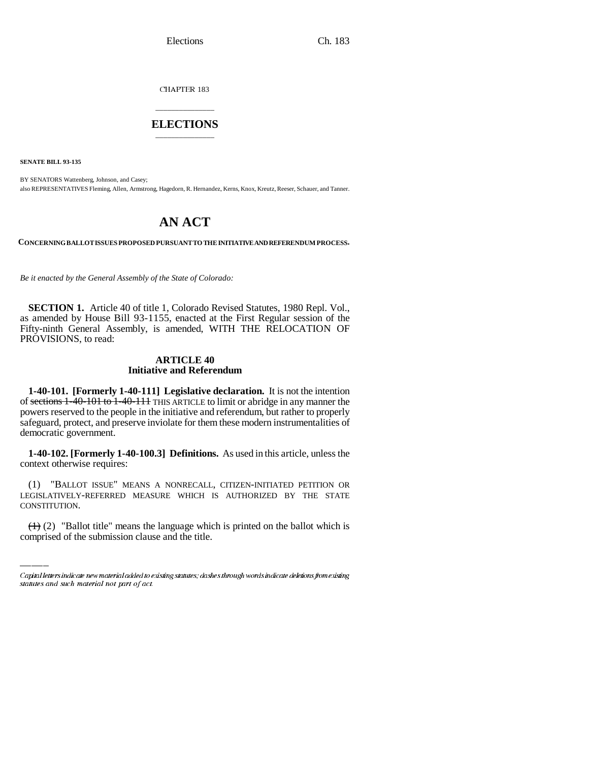CHAPTER 183

# \_\_\_\_\_\_\_\_\_\_\_\_\_\_\_ **ELECTIONS** \_\_\_\_\_\_\_\_\_\_\_\_\_\_\_

**SENATE BILL 93-135**

BY SENATORS Wattenberg, Johnson, and Casey; also REPRESENTATIVES Fleming, Allen, Armstrong, Hagedorn, R. Hernandez, Kerns, Knox, Kreutz, Reeser, Schauer, and Tanner.

# **AN ACT**

**CONCERNING BALLOT ISSUES PROPOSED PURSUANT TO THE INITIATIVE AND REFERENDUM PROCESS.**

*Be it enacted by the General Assembly of the State of Colorado:*

**SECTION 1.** Article 40 of title 1, Colorado Revised Statutes, 1980 Repl. Vol., as amended by House Bill 93-1155, enacted at the First Regular session of the Fifty-ninth General Assembly, is amended, WITH THE RELOCATION OF PROVISIONS, to read:

### **ARTICLE 40 Initiative and Referendum**

**1-40-101. [Formerly 1-40-111] Legislative declaration.** It is not the intention of sections 1-40-101 to 1-40-111 THIS ARTICLE to limit or abridge in any manner the powers reserved to the people in the initiative and referendum, but rather to properly safeguard, protect, and preserve inviolate for them these modern instrumentalities of democratic government.

**1-40-102. [Formerly 1-40-100.3] Definitions.** As used in this article, unless the context otherwise requires:

LEGISLATIVELY-REFERRED MEASURE WHICH IS AUTHORIZED BY THE STATE (1) "BALLOT ISSUE" MEANS A NONRECALL, CITIZEN-INITIATED PETITION OR CONSTITUTION.

 $(1)$  (2) "Ballot title" means the language which is printed on the ballot which is comprised of the submission clause and the title.

Capital letters indicate new material added to existing statutes; dashes through words indicate deletions from existing statutes and such material not part of act.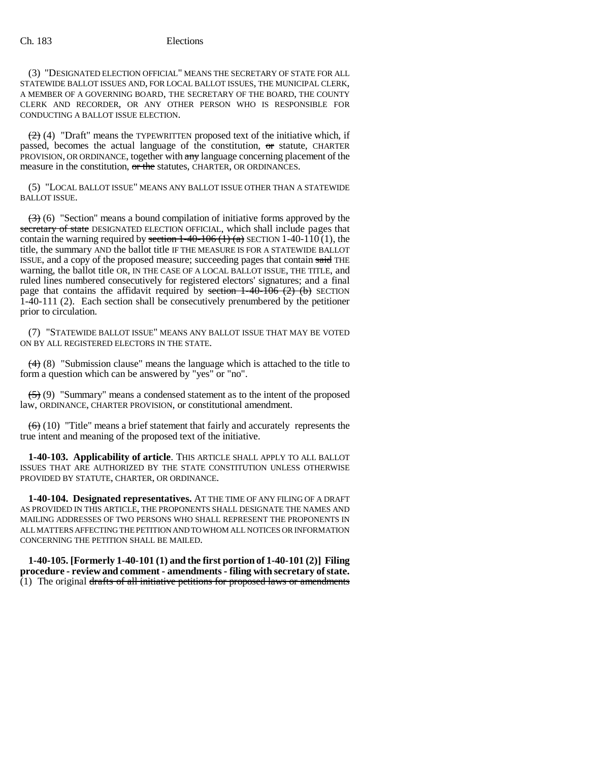(3) "DESIGNATED ELECTION OFFICIAL" MEANS THE SECRETARY OF STATE FOR ALL STATEWIDE BALLOT ISSUES AND, FOR LOCAL BALLOT ISSUES, THE MUNICIPAL CLERK, A MEMBER OF A GOVERNING BOARD, THE SECRETARY OF THE BOARD, THE COUNTY CLERK AND RECORDER, OR ANY OTHER PERSON WHO IS RESPONSIBLE FOR CONDUCTING A BALLOT ISSUE ELECTION.

 $(2)$  (4) "Draft" means the TYPEWRITTEN proposed text of the initiative which, if passed, becomes the actual language of the constitution,  $\sigma$ r statute, CHARTER PROVISION, OR ORDINANCE, together with any language concerning placement of the measure in the constitution, or the statutes, CHARTER, OR ORDINANCES.

(5) "LOCAL BALLOT ISSUE" MEANS ANY BALLOT ISSUE OTHER THAN A STATEWIDE BALLOT ISSUE.

 $\left(\frac{1}{2}\right)$  (6) "Section" means a bound compilation of initiative forms approved by the secretary of state DESIGNATED ELECTION OFFICIAL, which shall include pages that contain the warning required by section 1-40-106 (1) (a) SECTION 1-40-110 (1), the title, the summary AND the ballot title IF THE MEASURE IS FOR A STATEWIDE BALLOT ISSUE, and a copy of the proposed measure; succeeding pages that contain said THE warning, the ballot title OR, IN THE CASE OF A LOCAL BALLOT ISSUE, THE TITLE, and ruled lines numbered consecutively for registered electors' signatures; and a final page that contains the affidavit required by section  $1-40-106$  (2) (b) SECTION 1-40-111 (2). Each section shall be consecutively prenumbered by the petitioner prior to circulation.

(7) "STATEWIDE BALLOT ISSUE" MEANS ANY BALLOT ISSUE THAT MAY BE VOTED ON BY ALL REGISTERED ELECTORS IN THE STATE.

 $(4)$  (8) "Submission clause" means the language which is attached to the title to form a question which can be answered by "yes" or "no".

 $(5)$  (9) "Summary" means a condensed statement as to the intent of the proposed law, ORDINANCE, CHARTER PROVISION, or constitutional amendment.

 $(6)$  (10) "Title" means a brief statement that fairly and accurately represents the true intent and meaning of the proposed text of the initiative.

**1-40-103. Applicability of article**. THIS ARTICLE SHALL APPLY TO ALL BALLOT ISSUES THAT ARE AUTHORIZED BY THE STATE CONSTITUTION UNLESS OTHERWISE PROVIDED BY STATUTE, CHARTER, OR ORDINANCE.

**1-40-104. Designated representatives.** AT THE TIME OF ANY FILING OF A DRAFT AS PROVIDED IN THIS ARTICLE, THE PROPONENTS SHALL DESIGNATE THE NAMES AND MAILING ADDRESSES OF TWO PERSONS WHO SHALL REPRESENT THE PROPONENTS IN ALL MATTERS AFFECTING THE PETITION AND TO WHOM ALL NOTICES OR INFORMATION CONCERNING THE PETITION SHALL BE MAILED.

**1-40-105. [Formerly 1-40-101 (1) and the first portion of 1-40-101 (2)] Filing procedure - review and comment - amendments - filing with secretary of state.** (1) The original drafts of all initiative petitions for proposed laws or amendments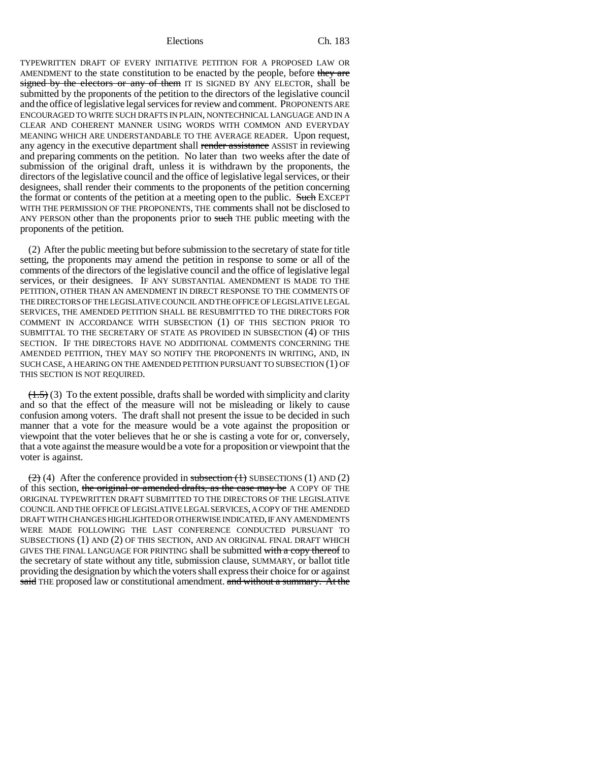TYPEWRITTEN DRAFT OF EVERY INITIATIVE PETITION FOR A PROPOSED LAW OR AMENDMENT to the state constitution to be enacted by the people, before they are signed by the electors or any of them IT IS SIGNED BY ANY ELECTOR, shall be submitted by the proponents of the petition to the directors of the legislative council and the office of legislative legal services for review and comment. PROPONENTS ARE ENCOURAGED TO WRITE SUCH DRAFTS IN PLAIN, NONTECHNICAL LANGUAGE AND IN A CLEAR AND COHERENT MANNER USING WORDS WITH COMMON AND EVERYDAY MEANING WHICH ARE UNDERSTANDABLE TO THE AVERAGE READER. Upon request, any agency in the executive department shall render assistance ASSIST in reviewing and preparing comments on the petition. No later than two weeks after the date of submission of the original draft, unless it is withdrawn by the proponents, the directors of the legislative council and the office of legislative legal services, or their designees, shall render their comments to the proponents of the petition concerning the format or contents of the petition at a meeting open to the public. Such EXCEPT WITH THE PERMISSION OF THE PROPONENTS, THE comments shall not be disclosed to ANY PERSON other than the proponents prior to such THE public meeting with the proponents of the petition.

(2) After the public meeting but before submission to the secretary of state for title setting, the proponents may amend the petition in response to some or all of the comments of the directors of the legislative council and the office of legislative legal services, or their designees. IF ANY SUBSTANTIAL AMENDMENT IS MADE TO THE PETITION, OTHER THAN AN AMENDMENT IN DIRECT RESPONSE TO THE COMMENTS OF THE DIRECTORS OF THE LEGISLATIVE COUNCIL AND THE OFFICE OF LEGISLATIVE LEGAL SERVICES, THE AMENDED PETITION SHALL BE RESUBMITTED TO THE DIRECTORS FOR COMMENT IN ACCORDANCE WITH SUBSECTION (1) OF THIS SECTION PRIOR TO SUBMITTAL TO THE SECRETARY OF STATE AS PROVIDED IN SUBSECTION (4) OF THIS SECTION. IF THE DIRECTORS HAVE NO ADDITIONAL COMMENTS CONCERNING THE AMENDED PETITION, THEY MAY SO NOTIFY THE PROPONENTS IN WRITING, AND, IN SUCH CASE, A HEARING ON THE AMENDED PETITION PURSUANT TO SUBSECTION (1) OF THIS SECTION IS NOT REQUIRED.

 $(1.5)$  (3) To the extent possible, drafts shall be worded with simplicity and clarity and so that the effect of the measure will not be misleading or likely to cause confusion among voters. The draft shall not present the issue to be decided in such manner that a vote for the measure would be a vote against the proposition or viewpoint that the voter believes that he or she is casting a vote for or, conversely, that a vote against the measure would be a vote for a proposition or viewpoint that the voter is against.

 $(2)$  (4) After the conference provided in subsection  $(1)$  SUBSECTIONS (1) AND (2) of this section, the original or amended drafts, as the case may be A COPY OF THE ORIGINAL TYPEWRITTEN DRAFT SUBMITTED TO THE DIRECTORS OF THE LEGISLATIVE COUNCIL AND THE OFFICE OF LEGISLATIVE LEGAL SERVICES, A COPY OF THE AMENDED DRAFT WITH CHANGES HIGHLIGHTED OR OTHERWISE INDICATED, IF ANY AMENDMENTS WERE MADE FOLLOWING THE LAST CONFERENCE CONDUCTED PURSUANT TO SUBSECTIONS (1) AND (2) OF THIS SECTION, AND AN ORIGINAL FINAL DRAFT WHICH GIVES THE FINAL LANGUAGE FOR PRINTING shall be submitted with a copy thereof to the secretary of state without any title, submission clause, SUMMARY, or ballot title providing the designation by which the voters shall express their choice for or against said THE proposed law or constitutional amendment. and without a summary. At the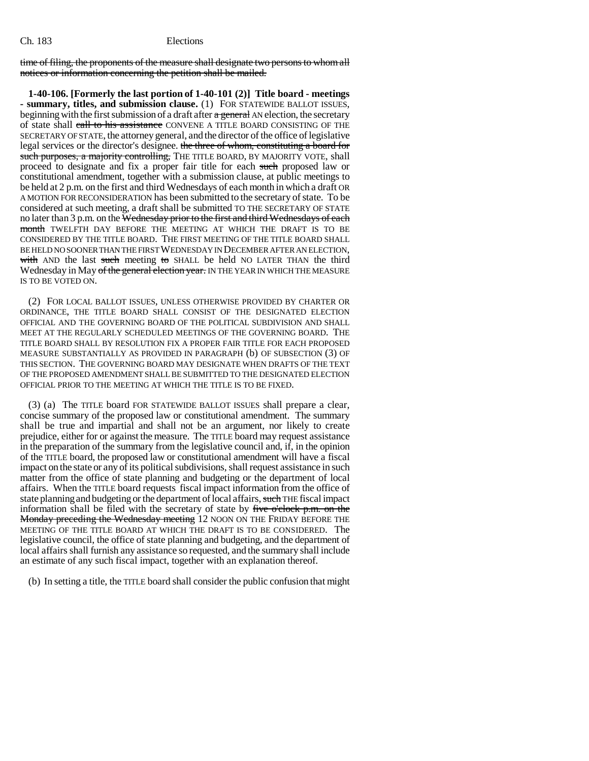time of filing, the proponents of the measure shall designate two persons to whom all notices or information concerning the petition shall be mailed.

**1-40-106. [Formerly the last portion of 1-40-101 (2)] Title board - meetings - summary, titles, and submission clause.** (1) FOR STATEWIDE BALLOT ISSUES, beginning with the first submission of a draft after a general AN election, the secretary of state shall call to his assistance CONVENE A TITLE BOARD CONSISTING OF THE SECRETARY OF STATE, the attorney general, and the director of the office of legislative legal services or the director's designee. the three of whom, constituting a board for such purposes, a majority controlling, THE TITLE BOARD, BY MAJORITY VOTE, shall proceed to designate and fix a proper fair title for each such proposed law or constitutional amendment, together with a submission clause, at public meetings to be held at 2 p.m. on the first and third Wednesdays of each month in which a draft OR A MOTION FOR RECONSIDERATION has been submitted to the secretary of state. To be considered at such meeting, a draft shall be submitted TO THE SECRETARY OF STATE no later than 3 p.m. on the Wednesday prior to the first and third Wednesdays of each month TWELFTH DAY BEFORE THE MEETING AT WHICH THE DRAFT IS TO BE CONSIDERED BY THE TITLE BOARD. THE FIRST MEETING OF THE TITLE BOARD SHALL BE HELD NO SOONER THAN THE FIRST WEDNESDAY IN DECEMBER AFTER AN ELECTION, with AND the last such meeting to SHALL be held NO LATER THAN the third Wednesday in May of the general election year. IN THE YEAR IN WHICH THE MEASURE IS TO BE VOTED ON.

(2) FOR LOCAL BALLOT ISSUES, UNLESS OTHERWISE PROVIDED BY CHARTER OR ORDINANCE, THE TITLE BOARD SHALL CONSIST OF THE DESIGNATED ELECTION OFFICIAL AND THE GOVERNING BOARD OF THE POLITICAL SUBDIVISION AND SHALL MEET AT THE REGULARLY SCHEDULED MEETINGS OF THE GOVERNING BOARD. THE TITLE BOARD SHALL BY RESOLUTION FIX A PROPER FAIR TITLE FOR EACH PROPOSED MEASURE SUBSTANTIALLY AS PROVIDED IN PARAGRAPH (b) OF SUBSECTION (3) OF THIS SECTION. THE GOVERNING BOARD MAY DESIGNATE WHEN DRAFTS OF THE TEXT OF THE PROPOSED AMENDMENT SHALL BE SUBMITTED TO THE DESIGNATED ELECTION OFFICIAL PRIOR TO THE MEETING AT WHICH THE TITLE IS TO BE FIXED.

(3) (a) The TITLE board FOR STATEWIDE BALLOT ISSUES shall prepare a clear, concise summary of the proposed law or constitutional amendment. The summary shall be true and impartial and shall not be an argument, nor likely to create prejudice, either for or against the measure. The TITLE board may request assistance in the preparation of the summary from the legislative council and, if, in the opinion of the TITLE board, the proposed law or constitutional amendment will have a fiscal impact on the state or any of its political subdivisions, shall request assistance in such matter from the office of state planning and budgeting or the department of local affairs. When the TITLE board requests fiscal impact information from the office of state planning and budgeting or the department of local affairs, such THE fiscal impact information shall be filed with the secretary of state by five o'clock  $p.m.$  on the Monday preceding the Wednesday meeting 12 NOON ON THE FRIDAY BEFORE THE MEETING OF THE TITLE BOARD AT WHICH THE DRAFT IS TO BE CONSIDERED. The legislative council, the office of state planning and budgeting, and the department of local affairs shall furnish any assistance so requested, and the summary shall include an estimate of any such fiscal impact, together with an explanation thereof.

(b) In setting a title, the TITLE board shall consider the public confusion that might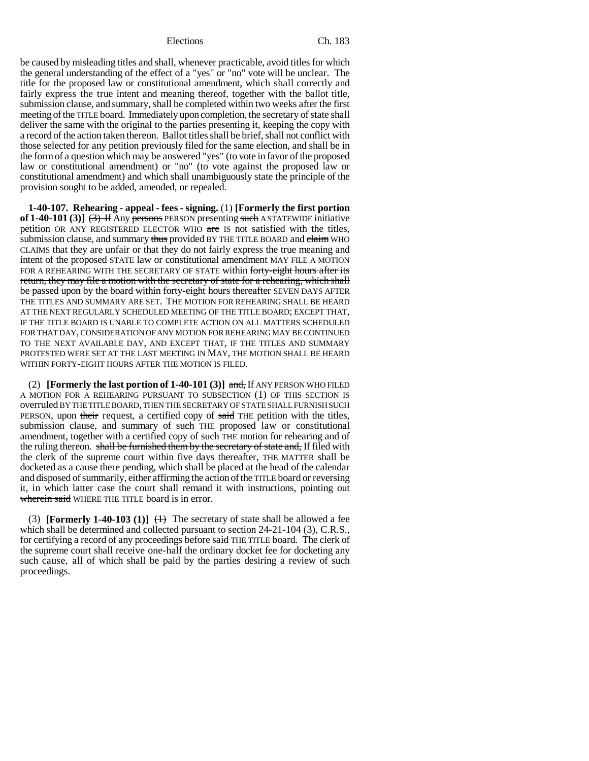be caused by misleading titles and shall, whenever practicable, avoid titles for which the general understanding of the effect of a "yes" or "no" vote will be unclear. The title for the proposed law or constitutional amendment, which shall correctly and fairly express the true intent and meaning thereof, together with the ballot title, submission clause, and summary, shall be completed within two weeks after the first meeting of the TITLE board. Immediately upon completion, the secretary of state shall deliver the same with the original to the parties presenting it, keeping the copy with a record of the action taken thereon. Ballot titles shall be brief, shall not conflict with those selected for any petition previously filed for the same election, and shall be in the form of a question which may be answered "yes" (to vote in favor of the proposed law or constitutional amendment) or "no" (to vote against the proposed law or constitutional amendment) and which shall unambiguously state the principle of the provision sought to be added, amended, or repealed.

**1-40-107. Rehearing - appeal - fees - signing.** (1) **[Formerly the first portion** of  $1-40-101$  (3)]  $(3)$  If Any persons PERSON presenting such A STATEWIDE initiative petition OR ANY REGISTERED ELECTOR WHO are IS not satisfied with the titles, submission clause, and summary thus provided BY THE TITLE BOARD and claim WHO CLAIMS that they are unfair or that they do not fairly express the true meaning and intent of the proposed STATE law or constitutional amendment MAY FILE A MOTION FOR A REHEARING WITH THE SECRETARY OF STATE within forty-eight hours after its return, they may file a motion with the secretary of state for a rehearing, which shall be passed upon by the board within forty-eight hours thereafter SEVEN DAYS AFTER THE TITLES AND SUMMARY ARE SET. THE MOTION FOR REHEARING SHALL BE HEARD AT THE NEXT REGULARLY SCHEDULED MEETING OF THE TITLE BOARD; EXCEPT THAT, IF THE TITLE BOARD IS UNABLE TO COMPLETE ACTION ON ALL MATTERS SCHEDULED FOR THAT DAY, CONSIDERATION OF ANY MOTION FOR REHEARING MAY BE CONTINUED TO THE NEXT AVAILABLE DAY, AND EXCEPT THAT, IF THE TITLES AND SUMMARY PROTESTED WERE SET AT THE LAST MEETING IN MAY, THE MOTION SHALL BE HEARD WITHIN FORTY-EIGHT HOURS AFTER THE MOTION IS FILED.

(2) **[Formerly the last portion of 1-40-101 (3)]** and, If ANY PERSON WHO FILED A MOTION FOR A REHEARING PURSUANT TO SUBSECTION (1) OF THIS SECTION IS overruled BY THE TITLE BOARD, THEN THE SECRETARY OF STATE SHALL FURNISH SUCH PERSON, upon their request, a certified copy of said THE petition with the titles, submission clause, and summary of such THE proposed law or constitutional amendment, together with a certified copy of such THE motion for rehearing and of the ruling thereon. shall be furnished them by the secretary of state and, If filed with the clerk of the supreme court within five days thereafter, THE MATTER shall be docketed as a cause there pending, which shall be placed at the head of the calendar and disposed of summarily, either affirming the action of the TITLE board or reversing it, in which latter case the court shall remand it with instructions, pointing out wherein said WHERE THE TITLE board is in error.

(3) **[Formerly 1-40-103 (1)]**  $\leftrightarrow$  The secretary of state shall be allowed a fee which shall be determined and collected pursuant to section 24-21-104 (3), C.R.S., for certifying a record of any proceedings before said THE TITLE board. The clerk of the supreme court shall receive one-half the ordinary docket fee for docketing any such cause, all of which shall be paid by the parties desiring a review of such proceedings.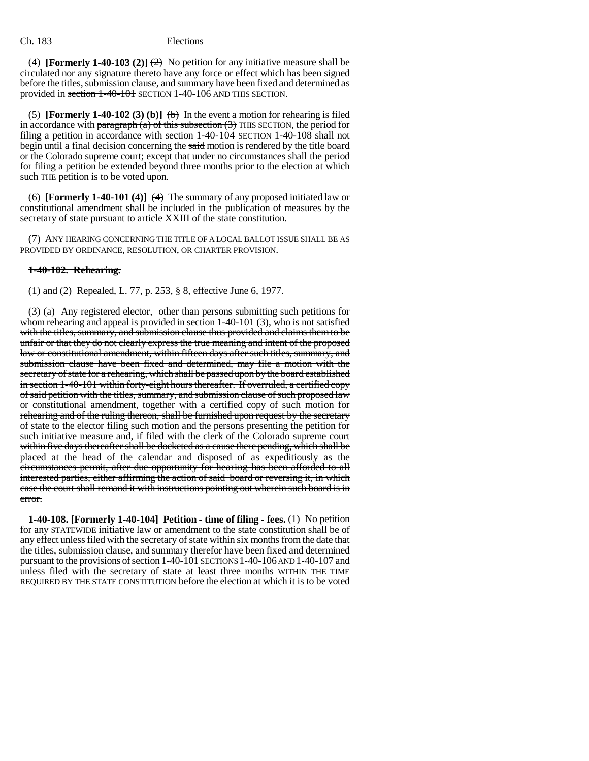(4) **[Formerly 1-40-103 (2)]**  $\left(\frac{2}{2}\right)$  No petition for any initiative measure shall be circulated nor any signature thereto have any force or effect which has been signed before the titles, submission clause, and summary have been fixed and determined as provided in section 1-40-101 SECTION 1-40-106 AND THIS SECTION.

(5) **[Formerly 1-40-102 (3) (b)]**  $\leftrightarrow$  In the event a motion for rehearing is filed in accordance with paragraph (a) of this subsection  $(3)$  THIS SECTION, the period for filing a petition in accordance with section 1-40-104 SECTION 1-40-108 shall not begin until a final decision concerning the said motion is rendered by the title board or the Colorado supreme court; except that under no circumstances shall the period for filing a petition be extended beyond three months prior to the election at which such THE petition is to be voted upon.

(6) **[Formerly 1-40-101 (4)]**  $(4)$  The summary of any proposed initiated law or constitutional amendment shall be included in the publication of measures by the secretary of state pursuant to article XXIII of the state constitution.

(7) ANY HEARING CONCERNING THE TITLE OF A LOCAL BALLOT ISSUE SHALL BE AS PROVIDED BY ORDINANCE, RESOLUTION, OR CHARTER PROVISION.

#### **1-40-102. Rehearing.**

(1) and (2) Repealed, L. 77, p. 253, § 8, effective June 6, 1977.

(3) (a) Any registered elector, other than persons submitting such petitions for whom rehearing and appeal is provided in section 1-40-101 (3), who is not satisfied with the titles, summary, and submission clause thus provided and claims them to be unfair or that they do not clearly express the true meaning and intent of the proposed law or constitutional amendment, within fifteen days after such titles, summary, and submission clause have been fixed and determined, may file a motion with the secretary of state for a rehearing, which shall be passed upon by the board established in section 1-40-101 within forty-eight hours thereafter. If overruled, a certified copy of said petition with the titles, summary, and submission clause of such proposed law or constitutional amendment, together with a certified copy of such motion for rehearing and of the ruling thereon, shall be furnished upon request by the secretary of state to the elector filing such motion and the persons presenting the petition for such initiative measure and, if filed with the clerk of the Colorado supreme court within five days thereafter shall be docketed as a cause there pending, which shall be placed at the head of the calendar and disposed of as expeditiously as the circumstances permit, after due opportunity for hearing has been afforded to all interested parties, either affirming the action of said board or reversing it, in which case the court shall remand it with instructions pointing out wherein such board is in error.

**1-40-108. [Formerly 1-40-104] Petition - time of filing - fees.** (1) No petition for any STATEWIDE initiative law or amendment to the state constitution shall be of any effect unless filed with the secretary of state within six months from the date that the titles, submission clause, and summary therefor have been fixed and determined pursuant to the provisions of section 1-40-101 SECTIONS 1-40-106 AND 1-40-107 and unless filed with the secretary of state at least three months WITHIN THE TIME REQUIRED BY THE STATE CONSTITUTION before the election at which it is to be voted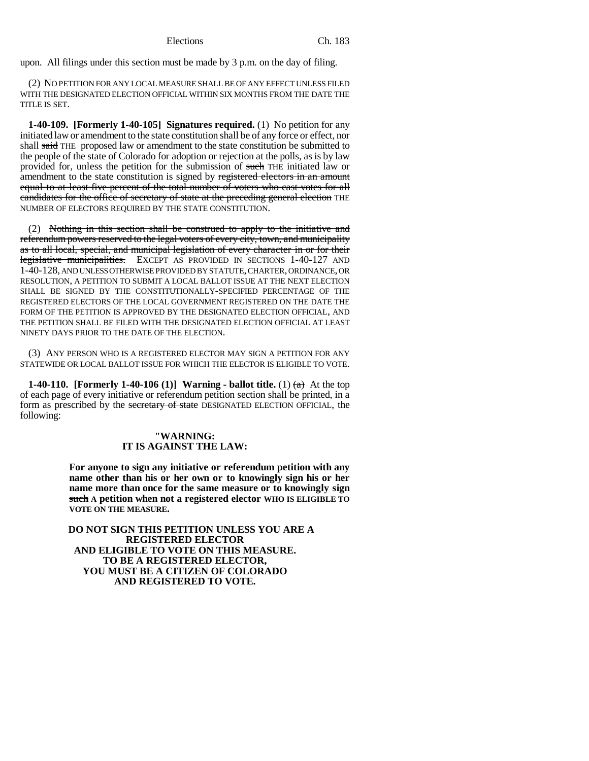upon. All filings under this section must be made by 3 p.m. on the day of filing.

(2) NO PETITION FOR ANY LOCAL MEASURE SHALL BE OF ANY EFFECT UNLESS FILED WITH THE DESIGNATED ELECTION OFFICIAL WITHIN SIX MONTHS FROM THE DATE THE TITLE IS SET.

**1-40-109. [Formerly 1-40-105] Signatures required.** (1) No petition for any initiated law or amendment to the state constitution shall be of any force or effect, nor shall said THE proposed law or amendment to the state constitution be submitted to the people of the state of Colorado for adoption or rejection at the polls, as is by law provided for, unless the petition for the submission of such THE initiated law or amendment to the state constitution is signed by registered electors in an amount equal to at least five percent of the total number of voters who cast votes for all candidates for the office of secretary of state at the preceding general election THE NUMBER OF ELECTORS REQUIRED BY THE STATE CONSTITUTION.

(2) Nothing in this section shall be construed to apply to the initiative and referendum powers reserved to the legal voters of every city, town, and municipality as to all local, special, and municipal legislation of every character in or for their legislative municipalities. EXCEPT AS PROVIDED IN SECTIONS 1-40-127 AND 1-40-128, AND UNLESS OTHERWISE PROVIDED BY STATUTE, CHARTER, ORDINANCE, OR RESOLUTION, A PETITION TO SUBMIT A LOCAL BALLOT ISSUE AT THE NEXT ELECTION SHALL BE SIGNED BY THE CONSTITUTIONALLY-SPECIFIED PERCENTAGE OF THE REGISTERED ELECTORS OF THE LOCAL GOVERNMENT REGISTERED ON THE DATE THE FORM OF THE PETITION IS APPROVED BY THE DESIGNATED ELECTION OFFICIAL, AND THE PETITION SHALL BE FILED WITH THE DESIGNATED ELECTION OFFICIAL AT LEAST NINETY DAYS PRIOR TO THE DATE OF THE ELECTION.

(3) ANY PERSON WHO IS A REGISTERED ELECTOR MAY SIGN A PETITION FOR ANY STATEWIDE OR LOCAL BALLOT ISSUE FOR WHICH THE ELECTOR IS ELIGIBLE TO VOTE.

**1-40-110.** [Formerly 1-40-106 (1)] Warning - ballot title. (1)  $\left(\frac{\alpha}{2}\right)$  At the top of each page of every initiative or referendum petition section shall be printed, in a form as prescribed by the secretary of state DESIGNATED ELECTION OFFICIAL, the following:

## **"WARNING: IT IS AGAINST THE LAW:**

**For anyone to sign any initiative or referendum petition with any name other than his or her own or to knowingly sign his or her name more than once for the same measure or to knowingly sign such A petition when not a registered elector WHO IS ELIGIBLE TO VOTE ON THE MEASURE.**

 **DO NOT SIGN THIS PETITION UNLESS YOU ARE A REGISTERED ELECTOR AND ELIGIBLE TO VOTE ON THIS MEASURE. TO BE A REGISTERED ELECTOR, YOU MUST BE A CITIZEN OF COLORADO AND REGISTERED TO VOTE.**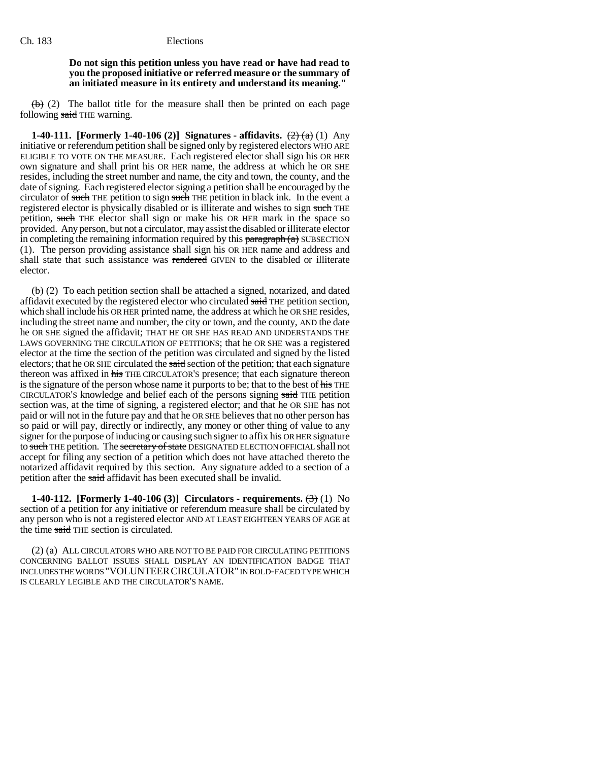### **Do not sign this petition unless you have read or have had read to you the proposed initiative or referred measure or the summary of an initiated measure in its entirety and understand its meaning."**

 $\leftrightarrow$  (2) The ballot title for the measure shall then be printed on each page following said THE warning.

**1-40-111.** [Formerly 1-40-106 (2)] Signatures - affidavits.  $\left(\frac{2}{(2)}\right)\left(\frac{1}{(4)}\right)$  Any initiative or referendum petition shall be signed only by registered electors WHO ARE ELIGIBLE TO VOTE ON THE MEASURE. Each registered elector shall sign his OR HER own signature and shall print his OR HER name, the address at which he OR SHE resides, including the street number and name, the city and town, the county, and the date of signing. Each registered elector signing a petition shall be encouraged by the circulator of such THE petition to sign such THE petition in black ink. In the event a registered elector is physically disabled or is illiterate and wishes to sign such THE petition, such THE elector shall sign or make his OR HER mark in the space so provided. Any person, but not a circulator, may assist the disabled or illiterate elector in completing the remaining information required by this  $\frac{1}{2}$  paragraph (a) SUBSECTION (1). The person providing assistance shall sign his OR HER name and address and shall state that such assistance was rendered GIVEN to the disabled or illiterate elector.

 $\left(\frac{b}{b}\right)$  (2) To each petition section shall be attached a signed, notarized, and dated affidavit executed by the registered elector who circulated said THE petition section, which shall include his OR HER printed name, the address at which he OR SHE resides, including the street name and number, the city or town, and the county, AND the date he OR SHE signed the affidavit; THAT HE OR SHE HAS READ AND UNDERSTANDS THE LAWS GOVERNING THE CIRCULATION OF PETITIONS; that he OR SHE was a registered elector at the time the section of the petition was circulated and signed by the listed electors; that he OR SHE circulated the said section of the petition; that each signature thereon was affixed in his THE CIRCULATOR'S presence; that each signature thereon is the signature of the person whose name it purports to be; that to the best of his THE CIRCULATOR'S knowledge and belief each of the persons signing said THE petition section was, at the time of signing, a registered elector; and that he OR SHE has not paid or will not in the future pay and that he OR SHE believes that no other person has so paid or will pay, directly or indirectly, any money or other thing of value to any signer for the purpose of inducing or causing such signer to affix his OR HER signature to such THE petition. The secretary of state DESIGNATED ELECTION OFFICIAL shall not accept for filing any section of a petition which does not have attached thereto the notarized affidavit required by this section. Any signature added to a section of a petition after the said affidavit has been executed shall be invalid.

**1-40-112.** [Formerly 1-40-106 (3)] Circulators - requirements.  $(\text{3})$  (1) No section of a petition for any initiative or referendum measure shall be circulated by any person who is not a registered elector AND AT LEAST EIGHTEEN YEARS OF AGE at the time said THE section is circulated.

(2) (a) ALL CIRCULATORS WHO ARE NOT TO BE PAID FOR CIRCULATING PETITIONS CONCERNING BALLOT ISSUES SHALL DISPLAY AN IDENTIFICATION BADGE THAT INCLUDES THE WORDS "VOLUNTEERCIRCULATOR" IN BOLD-FACED TYPE WHICH IS CLEARLY LEGIBLE AND THE CIRCULATOR'S NAME.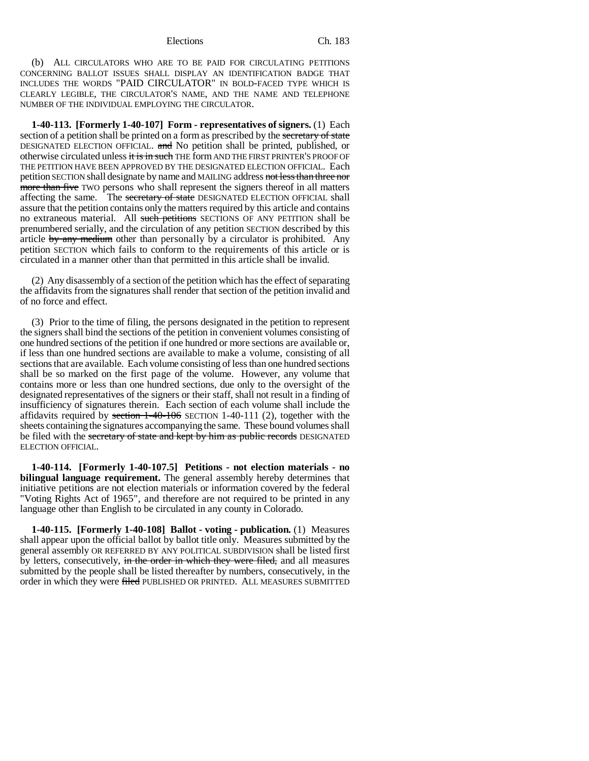(b) ALL CIRCULATORS WHO ARE TO BE PAID FOR CIRCULATING PETITIONS CONCERNING BALLOT ISSUES SHALL DISPLAY AN IDENTIFICATION BADGE THAT INCLUDES THE WORDS "PAID CIRCULATOR" IN BOLD-FACED TYPE WHICH IS CLEARLY LEGIBLE, THE CIRCULATOR'S NAME, AND THE NAME AND TELEPHONE NUMBER OF THE INDIVIDUAL EMPLOYING THE CIRCULATOR.

**1-40-113. [Formerly 1-40-107] Form - representatives of signers.** (1) Each section of a petition shall be printed on a form as prescribed by the secretary of state DESIGNATED ELECTION OFFICIAL. and No petition shall be printed, published, or otherwise circulated unless it is in such THE form AND THE FIRST PRINTER'S PROOF OF THE PETITION HAVE BEEN APPROVED BY THE DESIGNATED ELECTION OFFICIAL. Each petition SECTION shall designate by name and MAILING address not less than three nor more than five TWO persons who shall represent the signers thereof in all matters affecting the same. The secretary of state DESIGNATED ELECTION OFFICIAL shall assure that the petition contains only the matters required by this article and contains no extraneous material. All such petitions SECTIONS OF ANY PETITION shall be prenumbered serially, and the circulation of any petition SECTION described by this article by any medium other than personally by a circulator is prohibited. Any petition SECTION which fails to conform to the requirements of this article or is circulated in a manner other than that permitted in this article shall be invalid.

(2) Any disassembly of a section of the petition which has the effect of separating the affidavits from the signatures shall render that section of the petition invalid and of no force and effect.

(3) Prior to the time of filing, the persons designated in the petition to represent the signers shall bind the sections of the petition in convenient volumes consisting of one hundred sections of the petition if one hundred or more sections are available or, if less than one hundred sections are available to make a volume, consisting of all sections that are available. Each volume consisting of less than one hundred sections shall be so marked on the first page of the volume. However, any volume that contains more or less than one hundred sections, due only to the oversight of the designated representatives of the signers or their staff, shall not result in a finding of insufficiency of signatures therein. Each section of each volume shall include the affidavits required by section 1-40-106 SECTION 1-40-111 (2), together with the sheets containing the signatures accompanying the same. These bound volumes shall be filed with the secretary of state and kept by him as public records DESIGNATED ELECTION OFFICIAL.

**1-40-114. [Formerly 1-40-107.5] Petitions - not election materials - no bilingual language requirement.** The general assembly hereby determines that initiative petitions are not election materials or information covered by the federal "Voting Rights Act of 1965", and therefore are not required to be printed in any language other than English to be circulated in any county in Colorado.

**1-40-115. [Formerly 1-40-108] Ballot - voting - publication.** (1) Measures shall appear upon the official ballot by ballot title only. Measures submitted by the general assembly OR REFERRED BY ANY POLITICAL SUBDIVISION shall be listed first by letters, consecutively, in the order in which they were filed, and all measures submitted by the people shall be listed thereafter by numbers, consecutively, in the order in which they were filed PUBLISHED OR PRINTED. ALL MEASURES SUBMITTED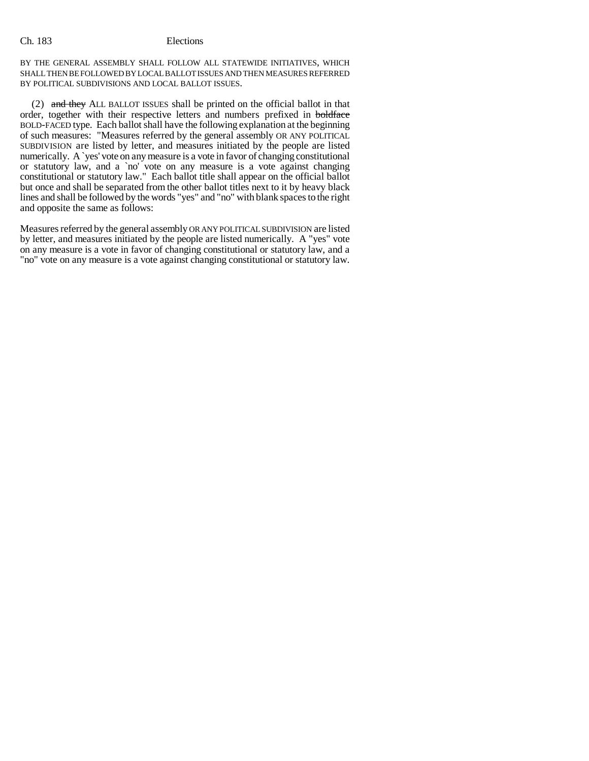BY THE GENERAL ASSEMBLY SHALL FOLLOW ALL STATEWIDE INITIATIVES, WHICH SHALL THEN BE FOLLOWED BY LOCAL BALLOT ISSUES AND THEN MEASURES REFERRED BY POLITICAL SUBDIVISIONS AND LOCAL BALLOT ISSUES.

(2) and they ALL BALLOT ISSUES shall be printed on the official ballot in that order, together with their respective letters and numbers prefixed in boldface BOLD-FACED type. Each ballot shall have the following explanation at the beginning of such measures: "Measures referred by the general assembly OR ANY POLITICAL SUBDIVISION are listed by letter, and measures initiated by the people are listed numerically. A `yes' vote on any measure is a vote in favor of changing constitutional or statutory law, and a `no' vote on any measure is a vote against changing constitutional or statutory law." Each ballot title shall appear on the official ballot but once and shall be separated from the other ballot titles next to it by heavy black lines and shall be followed by the words "yes" and "no" with blank spaces to the right and opposite the same as follows:

Measures referred by the general assembly OR ANY POLITICAL SUBDIVISION are listed by letter, and measures initiated by the people are listed numerically. A "yes" vote on any measure is a vote in favor of changing constitutional or statutory law, and a "no" vote on any measure is a vote against changing constitutional or statutory law.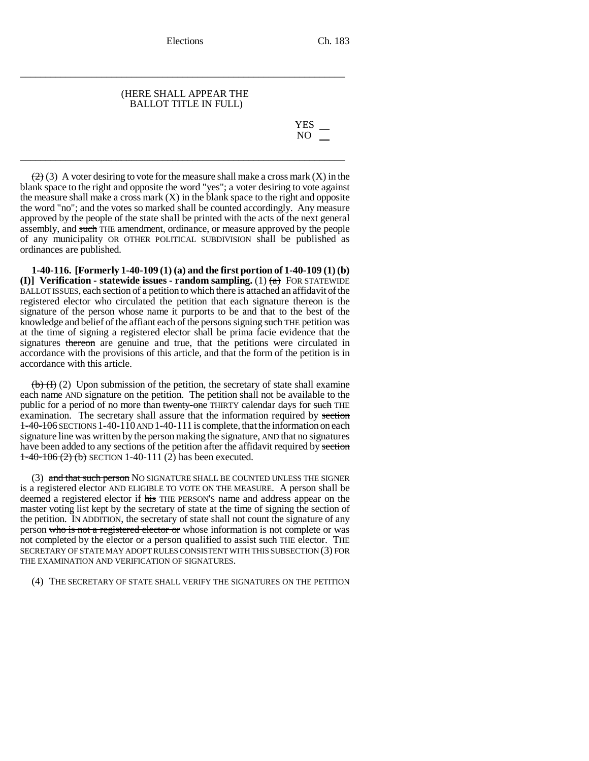### (HERE SHALL APPEAR THE BALLOT TITLE IN FULL)

\_\_\_\_\_\_\_\_\_\_\_\_\_\_\_\_\_\_\_\_\_\_\_\_\_\_\_\_\_\_\_\_\_\_\_\_\_\_\_\_\_\_\_\_\_\_\_\_\_\_\_\_\_\_\_\_\_\_\_\_\_\_\_\_

\_\_\_\_\_\_\_\_\_\_\_\_\_\_\_\_\_\_\_\_\_\_\_\_\_\_\_\_\_\_\_\_\_\_\_\_\_\_\_\_\_\_\_\_\_\_\_\_\_\_\_\_\_\_\_\_\_\_\_\_\_\_\_\_

YES NO

 $(2)$  (3) A voter desiring to vote for the measure shall make a cross mark  $(X)$  in the blank space to the right and opposite the word "yes"; a voter desiring to vote against the measure shall make a cross mark  $(X)$  in the blank space to the right and opposite the word "no"; and the votes so marked shall be counted accordingly. Any measure approved by the people of the state shall be printed with the acts of the next general assembly, and such THE amendment, ordinance, or measure approved by the people of any municipality OR OTHER POLITICAL SUBDIVISION shall be published as ordinances are published.

**1-40-116. [Formerly 1-40-109 (1) (a) and the first portion of 1-40-109 (1) (b) (I)] Verification - statewide issues - random sampling.** (1)  $\left(\frac{\bf{a}}{\bf{a}}\right)$  FOR STATEWIDE BALLOT ISSUES, each section of a petition to which there is attached an affidavit of the registered elector who circulated the petition that each signature thereon is the signature of the person whose name it purports to be and that to the best of the knowledge and belief of the affiant each of the persons signing such THE petition was at the time of signing a registered elector shall be prima facie evidence that the signatures thereon are genuine and true, that the petitions were circulated in accordance with the provisions of this article, and that the form of the petition is in accordance with this article.

 $\left(\frac{b}{b}\right)\left(\frac{f}{c}\right)$  (2) Upon submission of the petition, the secretary of state shall examine each name AND signature on the petition. The petition shall not be available to the public for a period of no more than twenty-one THIRTY calendar days for such THE examination. The secretary shall assure that the information required by section  $1-40-106$  SECTIONS 1-40-110 AND 1-40-111 is complete, that the information on each signature line was written by the person making the signature, AND that no signatures have been added to any sections of the petition after the affidavit required by section  $1-40-106$  (2) (b) SECTION 1-40-111 (2) has been executed.

(3) and that such person NO SIGNATURE SHALL BE COUNTED UNLESS THE SIGNER is a registered elector AND ELIGIBLE TO VOTE ON THE MEASURE. A person shall be deemed a registered elector if his THE PERSON'S name and address appear on the master voting list kept by the secretary of state at the time of signing the section of the petition. IN ADDITION, the secretary of state shall not count the signature of any person who is not a registered elector or whose information is not complete or was not completed by the elector or a person qualified to assist such THE elector. THE SECRETARY OF STATE MAY ADOPT RULES CONSISTENT WITH THIS SUBSECTION (3) FOR THE EXAMINATION AND VERIFICATION OF SIGNATURES.

(4) THE SECRETARY OF STATE SHALL VERIFY THE SIGNATURES ON THE PETITION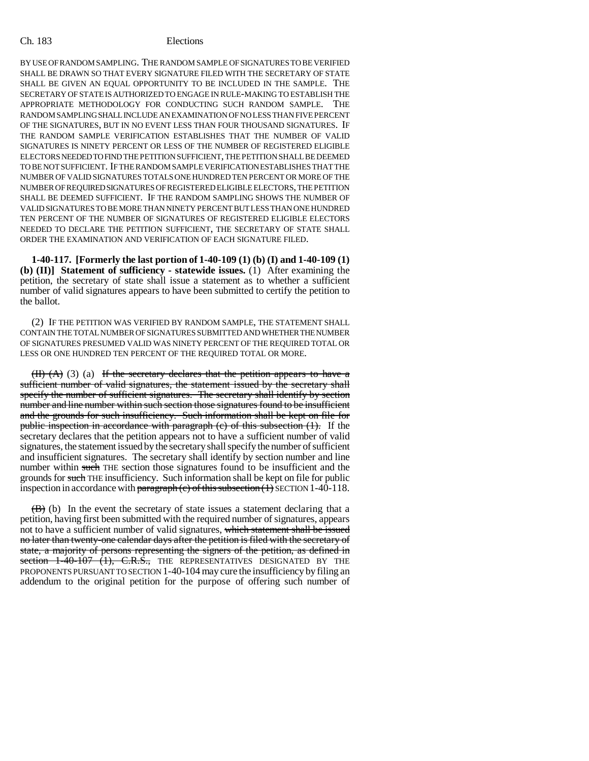BY USE OF RANDOM SAMPLING. THE RANDOM SAMPLE OF SIGNATURES TO BE VERIFIED SHALL BE DRAWN SO THAT EVERY SIGNATURE FILED WITH THE SECRETARY OF STATE SHALL BE GIVEN AN EQUAL OPPORTUNITY TO BE INCLUDED IN THE SAMPLE. THE SECRETARY OF STATE IS AUTHORIZED TO ENGAGE IN RULE-MAKING TO ESTABLISH THE APPROPRIATE METHODOLOGY FOR CONDUCTING SUCH RANDOM SAMPLE. THE RANDOM SAMPLING SHALL INCLUDE AN EXAMINATION OF NO LESS THAN FIVE PERCENT OF THE SIGNATURES, BUT IN NO EVENT LESS THAN FOUR THOUSAND SIGNATURES. IF THE RANDOM SAMPLE VERIFICATION ESTABLISHES THAT THE NUMBER OF VALID SIGNATURES IS NINETY PERCENT OR LESS OF THE NUMBER OF REGISTERED ELIGIBLE ELECTORS NEEDED TO FIND THE PETITION SUFFICIENT, THE PETITION SHALL BE DEEMED TO BE NOT SUFFICIENT. IF THE RANDOM SAMPLE VERIFICATION ESTABLISHES THAT THE NUMBER OF VALID SIGNATURES TOTALS ONE HUNDRED TEN PERCENT OR MORE OF THE NUMBER OF REQUIRED SIGNATURES OF REGISTERED ELIGIBLE ELECTORS, THE PETITION SHALL BE DEEMED SUFFICIENT. IF THE RANDOM SAMPLING SHOWS THE NUMBER OF VALID SIGNATURES TO BE MORE THAN NINETY PERCENT BUT LESS THAN ONE HUNDRED TEN PERCENT OF THE NUMBER OF SIGNATURES OF REGISTERED ELIGIBLE ELECTORS NEEDED TO DECLARE THE PETITION SUFFICIENT, THE SECRETARY OF STATE SHALL ORDER THE EXAMINATION AND VERIFICATION OF EACH SIGNATURE FILED.

**1-40-117. [Formerly the last portion of 1-40-109 (1) (b) (I) and 1-40-109 (1) (b) (II)] Statement of sufficiency - statewide issues.** (1) After examining the petition, the secretary of state shall issue a statement as to whether a sufficient number of valid signatures appears to have been submitted to certify the petition to the ballot.

(2) IF THE PETITION WAS VERIFIED BY RANDOM SAMPLE, THE STATEMENT SHALL CONTAIN THE TOTAL NUMBER OF SIGNATURES SUBMITTED AND WHETHER THE NUMBER OF SIGNATURES PRESUMED VALID WAS NINETY PERCENT OF THE REQUIRED TOTAL OR LESS OR ONE HUNDRED TEN PERCENT OF THE REQUIRED TOTAL OR MORE.

 $(H)$   $(A)$   $(3)$   $(a)$  If the secretary declares that the petition appears to have a sufficient number of valid signatures, the statement issued by the secretary shall specify the number of sufficient signatures. The secretary shall identify by section number and line number within such section those signatures found to be insufficient and the grounds for such insufficiency. Such information shall be kept on file for public inspection in accordance with paragraph (c) of this subsection (1). If the secretary declares that the petition appears not to have a sufficient number of valid signatures, the statement issued by the secretary shall specify the number of sufficient and insufficient signatures. The secretary shall identify by section number and line number within such THE section those signatures found to be insufficient and the grounds for such THE insufficiency. Such information shall be kept on file for public inspection in accordance with paragraph  $(e)$  of this subsection  $(1)$  SECTION 1-40-118.

 $(\overline{B})$  (b) In the event the secretary of state issues a statement declaring that a petition, having first been submitted with the required number of signatures, appears not to have a sufficient number of valid signatures, which statement shall be issued no later than twenty-one calendar days after the petition is filed with the secretary of state, a majority of persons representing the signers of the petition, as defined in section  $1-\overline{40-107}$   $\overline{(1)}$ , C.R.S., THE REPRESENTATIVES DESIGNATED BY THE PROPONENTS PURSUANT TO SECTION 1-40-104 may cure the insufficiency by filing an addendum to the original petition for the purpose of offering such number of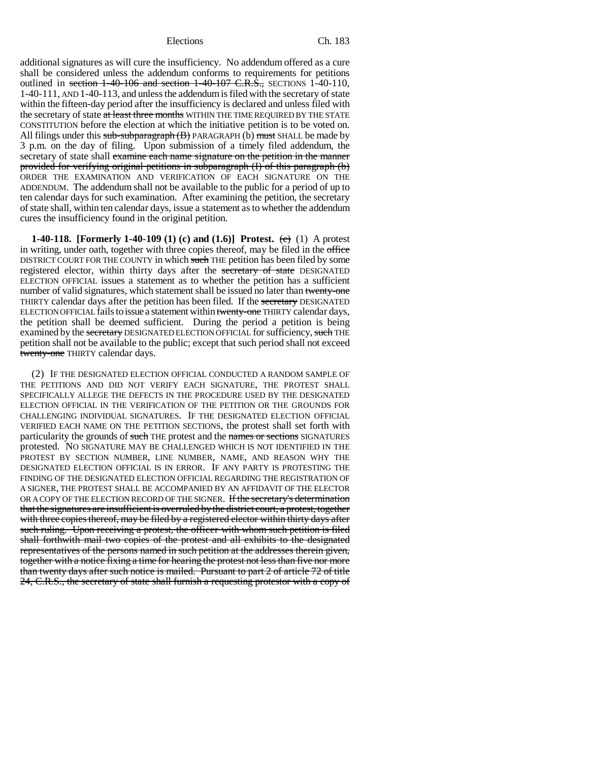additional signatures as will cure the insufficiency. No addendum offered as a cure shall be considered unless the addendum conforms to requirements for petitions outlined in section  $1-40-106$  and section  $1-40-107$  C.R.S., SECTIONS 1-40-110, 1-40-111, AND 1-40-113, and unless the addendum is filed with the secretary of state within the fifteen-day period after the insufficiency is declared and unless filed with the secretary of state at least three months WITHIN THE TIME REQUIRED BY THE STATE CONSTITUTION before the election at which the initiative petition is to be voted on. All filings under this  $sub-stbparagraph (B)$  PARAGRAPH (b) must SHALL be made by 3 p.m. on the day of filing. Upon submission of a timely filed addendum, the secretary of state shall examine each name signature on the petition in the manner provided for verifying original petitions in subparagraph (I) of this paragraph (b) ORDER THE EXAMINATION AND VERIFICATION OF EACH SIGNATURE ON THE ADDENDUM. The addendum shall not be available to the public for a period of up to ten calendar days for such examination. After examining the petition, the secretary of state shall, within ten calendar days, issue a statement as to whether the addendum cures the insufficiency found in the original petition.

**1-40-118.** [Formerly 1-40-109 (1) (c) and (1.6)] Protest. (c) (1) A protest in writing, under oath, together with three copies thereof, may be filed in the office DISTRICT COURT FOR THE COUNTY in which such THE petition has been filed by some registered elector, within thirty days after the secretary of state DESIGNATED ELECTION OFFICIAL issues a statement as to whether the petition has a sufficient number of valid signatures, which statement shall be issued no later than twenty-one THIRTY calendar days after the petition has been filed. If the secretary DESIGNATED ELECTION OFFICIAL fails to issue a statement within twenty-one THIRTY calendar days, the petition shall be deemed sufficient. During the period a petition is being examined by the secretary DESIGNATED ELECTION OFFICIAL for sufficiency, such THE petition shall not be available to the public; except that such period shall not exceed twenty-one THIRTY calendar days.

(2) IF THE DESIGNATED ELECTION OFFICIAL CONDUCTED A RANDOM SAMPLE OF THE PETITIONS AND DID NOT VERIFY EACH SIGNATURE, THE PROTEST SHALL SPECIFICALLY ALLEGE THE DEFECTS IN THE PROCEDURE USED BY THE DESIGNATED ELECTION OFFICIAL IN THE VERIFICATION OF THE PETITION OR THE GROUNDS FOR CHALLENGING INDIVIDUAL SIGNATURES. IF THE DESIGNATED ELECTION OFFICIAL VERIFIED EACH NAME ON THE PETITION SECTIONS, the protest shall set forth with particularity the grounds of such THE protest and the names or sections SIGNATURES protested. NO SIGNATURE MAY BE CHALLENGED WHICH IS NOT IDENTIFIED IN THE PROTEST BY SECTION NUMBER, LINE NUMBER, NAME, AND REASON WHY THE DESIGNATED ELECTION OFFICIAL IS IN ERROR. IF ANY PARTY IS PROTESTING THE FINDING OF THE DESIGNATED ELECTION OFFICIAL REGARDING THE REGISTRATION OF A SIGNER, THE PROTEST SHALL BE ACCOMPANIED BY AN AFFIDAVIT OF THE ELECTOR OR A COPY OF THE ELECTION RECORD OF THE SIGNER. If the secretary's determination that the signatures are insufficient is overruled by the district court, a protest, together with three copies thereof, may be filed by a registered elector within thirty days after such ruling. Upon receiving a protest, the officer with whom such petition is filed shall forthwith mail two copies of the protest and all exhibits to the designated representatives of the persons named in such petition at the addresses therein given, together with a notice fixing a time for hearing the protest not less than five nor more than twenty days after such notice is mailed. Pursuant to part 2 of article 72 of title 24, C.R.S., the secretary of state shall furnish a requesting protestor with a copy of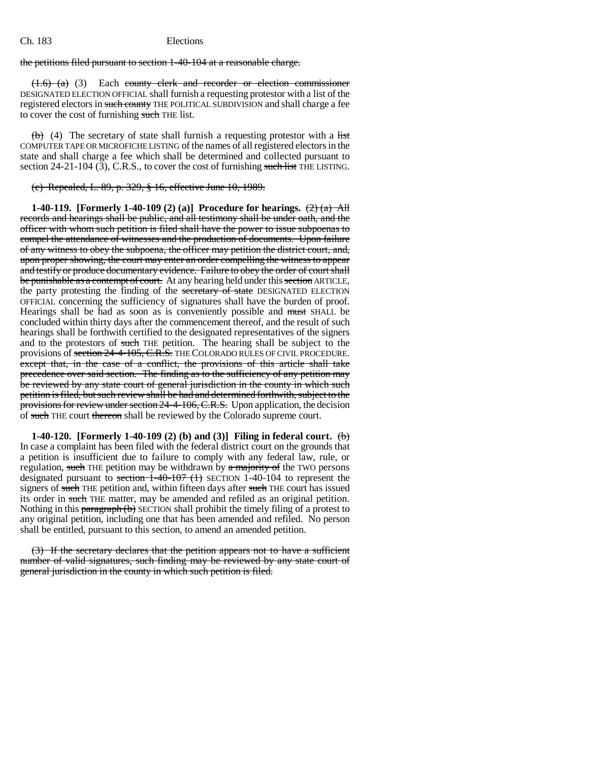the petitions filed pursuant to section 1-40-104 at a reasonable charge.

 $(1.6)$  (a) (3) Each county clerk and recorder or election commissioner DESIGNATED ELECTION OFFICIAL shall furnish a requesting protestor with a list of the registered electors in such county THE POLITICAL SUBDIVISION and shall charge a fee to cover the cost of furnishing such THE list.

 $(b)$  (4) The secretary of state shall furnish a requesting protestor with a list COMPUTER TAPE OR MICROFICHE LISTING of the names of all registered electors in the state and shall charge a fee which shall be determined and collected pursuant to section  $24-21-104$  (3), C.R.S., to cover the cost of furnishing such list THE LISTING.

(c) Repealed, L. 89, p. 329, § 16, effective June 10, 1989.

**1-40-119.** [Formerly 1-40-109 (2) (a)] Procedure for hearings.  $\left(\frac{2}{2}\right)$  (a) All records and hearings shall be public, and all testimony shall be under oath, and the officer with whom such petition is filed shall have the power to issue subpoenas to compel the attendance of witnesses and the production of documents. Upon failure of any witness to obey the subpoena, the officer may petition the district court, and, upon proper showing, the court may enter an order compelling the witness to appear and testify or produce documentary evidence. Failure to obey the order of court shall be punishable as a contempt of court. At any hearing held under this section ARTICLE, the party protesting the finding of the secretary of state DESIGNATED ELECTION OFFICIAL concerning the sufficiency of signatures shall have the burden of proof. Hearings shall be had as soon as is conveniently possible and must SHALL be concluded within thirty days after the commencement thereof, and the result of such hearings shall be forthwith certified to the designated representatives of the signers and to the protestors of such THE petition. The hearing shall be subject to the provisions of section 24-4-105, C.R.S. THE COLORADO RULES OF CIVIL PROCEDURE. except that, in the case of a conflict, the provisions of this article shall take precedence over said section. The finding as to the sufficiency of any petition may be reviewed by any state court of general jurisdiction in the county in which such petition is filed, but such review shall be had and determined forthwith, subject to the provisions for review under section 24-4-106, C.R.S. Upon application, the decision of such THE court thereon shall be reviewed by the Colorado supreme court.

**1-40-120. [Formerly 1-40-109 (2) (b) and (3)] Filing in federal court.** (b) In case a complaint has been filed with the federal district court on the grounds that a petition is insufficient due to failure to comply with any federal law, rule, or regulation, such THE petition may be withdrawn by  $\alpha$  majority of the TWO persons designated pursuant to section 1-40-107 (1) SECTION 1-40-104 to represent the signers of such THE petition and, within fifteen days after such THE court has issued its order in such THE matter, may be amended and refiled as an original petition. Nothing in this paragraph (b) SECTION shall prohibit the timely filing of a protest to any original petition, including one that has been amended and refiled. No person shall be entitled, pursuant to this section, to amend an amended petition.

(3) If the secretary declares that the petition appears not to have a sufficient number of valid signatures, such finding may be reviewed by any state court of general jurisdiction in the county in which such petition is filed.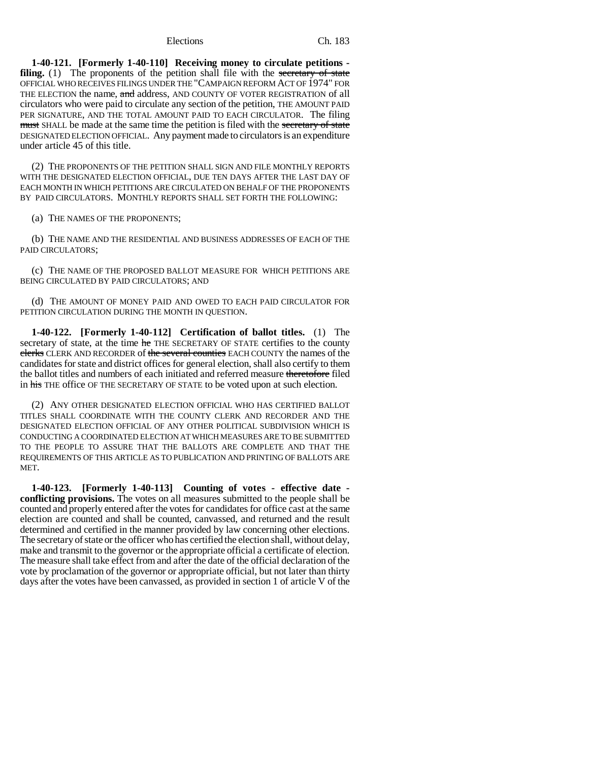**1-40-121. [Formerly 1-40-110] Receiving money to circulate petitions filing.** (1) The proponents of the petition shall file with the secretary of state OFFICIAL WHO RECEIVES FILINGS UNDER THE "CAMPAIGN REFORM ACT OF 1974" FOR THE ELECTION the name, and address, AND COUNTY OF VOTER REGISTRATION of all circulators who were paid to circulate any section of the petition, THE AMOUNT PAID PER SIGNATURE, AND THE TOTAL AMOUNT PAID TO EACH CIRCULATOR. The filing must SHALL be made at the same time the petition is filed with the secretary of state DESIGNATED ELECTION OFFICIAL. Any payment made to circulators is an expenditure under article 45 of this title.

(2) THE PROPONENTS OF THE PETITION SHALL SIGN AND FILE MONTHLY REPORTS WITH THE DESIGNATED ELECTION OFFICIAL, DUE TEN DAYS AFTER THE LAST DAY OF EACH MONTH IN WHICH PETITIONS ARE CIRCULATED ON BEHALF OF THE PROPONENTS BY PAID CIRCULATORS. MONTHLY REPORTS SHALL SET FORTH THE FOLLOWING:

(a) THE NAMES OF THE PROPONENTS;

(b) THE NAME AND THE RESIDENTIAL AND BUSINESS ADDRESSES OF EACH OF THE PAID CIRCULATORS;

(c) THE NAME OF THE PROPOSED BALLOT MEASURE FOR WHICH PETITIONS ARE BEING CIRCULATED BY PAID CIRCULATORS; AND

(d) THE AMOUNT OF MONEY PAID AND OWED TO EACH PAID CIRCULATOR FOR PETITION CIRCULATION DURING THE MONTH IN QUESTION.

**1-40-122. [Formerly 1-40-112] Certification of ballot titles.** (1) The secretary of state, at the time he THE SECRETARY OF STATE certifies to the county clerks CLERK AND RECORDER of the several counties EACH COUNTY the names of the candidates for state and district offices for general election, shall also certify to them the ballot titles and numbers of each initiated and referred measure theretofore filed in his THE office OF THE SECRETARY OF STATE to be voted upon at such election.

(2) ANY OTHER DESIGNATED ELECTION OFFICIAL WHO HAS CERTIFIED BALLOT TITLES SHALL COORDINATE WITH THE COUNTY CLERK AND RECORDER AND THE DESIGNATED ELECTION OFFICIAL OF ANY OTHER POLITICAL SUBDIVISION WHICH IS CONDUCTING A COORDINATED ELECTION AT WHICH MEASURES ARE TO BE SUBMITTED TO THE PEOPLE TO ASSURE THAT THE BALLOTS ARE COMPLETE AND THAT THE REQUIREMENTS OF THIS ARTICLE AS TO PUBLICATION AND PRINTING OF BALLOTS ARE MET.

**1-40-123. [Formerly 1-40-113] Counting of votes - effective date conflicting provisions.** The votes on all measures submitted to the people shall be counted and properly entered after the votes for candidates for office cast at the same election are counted and shall be counted, canvassed, and returned and the result determined and certified in the manner provided by law concerning other elections. The secretary of state or the officer who has certified the election shall, without delay, make and transmit to the governor or the appropriate official a certificate of election. The measure shall take effect from and after the date of the official declaration of the vote by proclamation of the governor or appropriate official, but not later than thirty days after the votes have been canvassed, as provided in section 1 of article V of the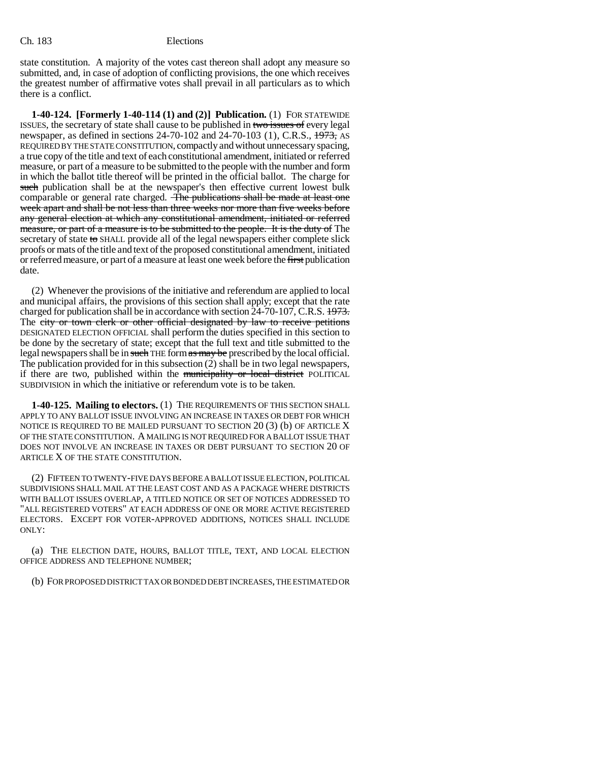state constitution. A majority of the votes cast thereon shall adopt any measure so submitted, and, in case of adoption of conflicting provisions, the one which receives the greatest number of affirmative votes shall prevail in all particulars as to which there is a conflict.

**1-40-124. [Formerly 1-40-114 (1) and (2)] Publication.** (1) FOR STATEWIDE ISSUES, the secretary of state shall cause to be published in two issues of every legal newspaper, as defined in sections 24-70-102 and 24-70-103 (1), C.R.S., 1973, AS REQUIRED BY THE STATE CONSTITUTION, compactly and without unnecessary spacing, a true copy of the title and text of each constitutional amendment, initiated or referred measure, or part of a measure to be submitted to the people with the number and form in which the ballot title thereof will be printed in the official ballot. The charge for such publication shall be at the newspaper's then effective current lowest bulk comparable or general rate charged. The publications shall be made at least one week apart and shall be not less than three weeks nor more than five weeks before any general election at which any constitutional amendment, initiated or referred measure, or part of a measure is to be submitted to the people. It is the duty of The secretary of state to SHALL provide all of the legal newspapers either complete slick proofs or mats of the title and text of the proposed constitutional amendment, initiated or referred measure, or part of a measure at least one week before the first publication date.

(2) Whenever the provisions of the initiative and referendum are applied to local and municipal affairs, the provisions of this section shall apply; except that the rate charged for publication shall be in accordance with section 24-70-107, C.R.S. 1973. The city or town clerk or other official designated by law to receive petitions DESIGNATED ELECTION OFFICIAL shall perform the duties specified in this section to be done by the secretary of state; except that the full text and title submitted to the legal newspapers shall be in such THE form as may be prescribed by the local official. The publication provided for in this subsection (2) shall be in two legal newspapers, if there are two, published within the municipality or local district POLITICAL SUBDIVISION in which the initiative or referendum vote is to be taken.

**1-40-125. Mailing to electors.** (1) THE REQUIREMENTS OF THIS SECTION SHALL APPLY TO ANY BALLOT ISSUE INVOLVING AN INCREASE IN TAXES OR DEBT FOR WHICH NOTICE IS REQUIRED TO BE MAILED PURSUANT TO SECTION  $20(3)$  (b) OF ARTICLE X OF THE STATE CONSTITUTION. A MAILING IS NOT REQUIRED FOR A BALLOT ISSUE THAT DOES NOT INVOLVE AN INCREASE IN TAXES OR DEBT PURSUANT TO SECTION 20 OF ARTICLE X OF THE STATE CONSTITUTION.

(2) FIFTEEN TO TWENTY-FIVE DAYS BEFORE A BALLOT ISSUE ELECTION, POLITICAL SUBDIVISIONS SHALL MAIL AT THE LEAST COST AND AS A PACKAGE WHERE DISTRICTS WITH BALLOT ISSUES OVERLAP, A TITLED NOTICE OR SET OF NOTICES ADDRESSED TO "ALL REGISTERED VOTERS" AT EACH ADDRESS OF ONE OR MORE ACTIVE REGISTERED ELECTORS. EXCEPT FOR VOTER-APPROVED ADDITIONS, NOTICES SHALL INCLUDE ONLY:

(a) THE ELECTION DATE, HOURS, BALLOT TITLE, TEXT, AND LOCAL ELECTION OFFICE ADDRESS AND TELEPHONE NUMBER;

(b) FOR PROPOSED DISTRICT TAX OR BONDED DEBT INCREASES, THE ESTIMATED OR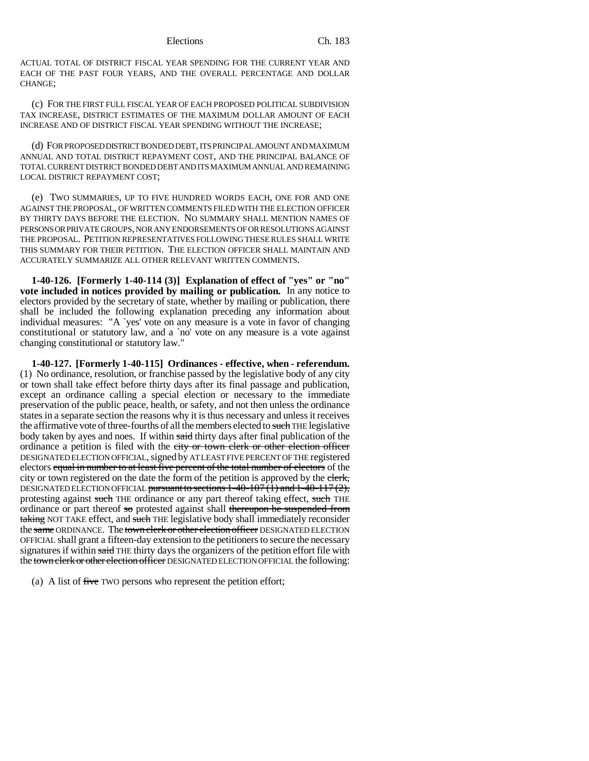ACTUAL TOTAL OF DISTRICT FISCAL YEAR SPENDING FOR THE CURRENT YEAR AND EACH OF THE PAST FOUR YEARS, AND THE OVERALL PERCENTAGE AND DOLLAR CHANGE;

(c) FOR THE FIRST FULL FISCAL YEAR OF EACH PROPOSED POLITICAL SUBDIVISION TAX INCREASE, DISTRICT ESTIMATES OF THE MAXIMUM DOLLAR AMOUNT OF EACH INCREASE AND OF DISTRICT FISCAL YEAR SPENDING WITHOUT THE INCREASE;

(d) FOR PROPOSED DISTRICT BONDED DEBT, ITS PRINCIPAL AMOUNT AND MAXIMUM ANNUAL AND TOTAL DISTRICT REPAYMENT COST, AND THE PRINCIPAL BALANCE OF TOTAL CURRENT DISTRICT BONDED DEBT AND ITS MAXIMUM ANNUAL AND REMAINING LOCAL DISTRICT REPAYMENT COST;

(e) TWO SUMMARIES, UP TO FIVE HUNDRED WORDS EACH, ONE FOR AND ONE AGAINST THE PROPOSAL, OF WRITTEN COMMENTS FILED WITH THE ELECTION OFFICER BY THIRTY DAYS BEFORE THE ELECTION. NO SUMMARY SHALL MENTION NAMES OF PERSONS OR PRIVATE GROUPS, NOR ANY ENDORSEMENTS OF OR RESOLUTIONS AGAINST THE PROPOSAL. PETITION REPRESENTATIVES FOLLOWING THESE RULES SHALL WRITE THIS SUMMARY FOR THEIR PETITION. THE ELECTION OFFICER SHALL MAINTAIN AND ACCURATELY SUMMARIZE ALL OTHER RELEVANT WRITTEN COMMENTS.

**1-40-126. [Formerly 1-40-114 (3)] Explanation of effect of "yes" or "no" vote included in notices provided by mailing or publication.** In any notice to electors provided by the secretary of state, whether by mailing or publication, there shall be included the following explanation preceding any information about individual measures: "A `yes' vote on any measure is a vote in favor of changing constitutional or statutory law, and a `no' vote on any measure is a vote against changing constitutional or statutory law."

**1-40-127. [Formerly 1-40-115] Ordinances - effective, when - referendum.** (1) No ordinance, resolution, or franchise passed by the legislative body of any city or town shall take effect before thirty days after its final passage and publication, except an ordinance calling a special election or necessary to the immediate preservation of the public peace, health, or safety, and not then unless the ordinance states in a separate section the reasons why it is thus necessary and unless it receives the affirmative vote of three-fourths of all the members elected to such THE legislative body taken by ayes and noes. If within said thirty days after final publication of the ordinance a petition is filed with the city or town clerk or other election officer DESIGNATED ELECTION OFFICIAL, signed by AT LEAST FIVE PERCENT OF THE registered electors equal in number to at least five percent of the total number of electors of the city or town registered on the date the form of the petition is approved by the elerk, DESIGNATED ELECTION OFFICIAL pursuant to sections  $1-40-107(1)$  and  $1-40-117(2)$ , protesting against such THE ordinance or any part thereof taking effect, such THE ordinance or part thereof so protested against shall thereupon be suspended from taking NOT TAKE effect, and such THE legislative body shall immediately reconsider the same ORDINANCE. The town clerk or other election officer DESIGNATED ELECTION OFFICIAL shall grant a fifteen-day extension to the petitioners to secure the necessary signatures if within said THE thirty days the organizers of the petition effort file with the town clerk or other election officer DESIGNATED ELECTION OFFICIAL the following:

(a) A list of  $f$ ive TWO persons who represent the petition effort;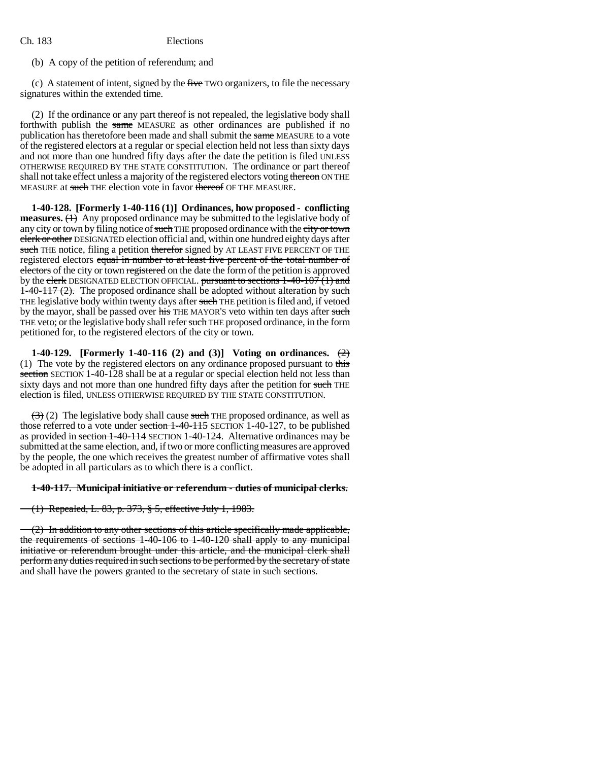(b) A copy of the petition of referendum; and

(c) A statement of intent, signed by the five TWO organizers, to file the necessary signatures within the extended time.

(2) If the ordinance or any part thereof is not repealed, the legislative body shall forthwith publish the same MEASURE as other ordinances are published if no publication has theretofore been made and shall submit the same MEASURE to a vote of the registered electors at a regular or special election held not less than sixty days and not more than one hundred fifty days after the date the petition is filed UNLESS OTHERWISE REQUIRED BY THE STATE CONSTITUTION. The ordinance or part thereof shall not take effect unless a majority of the registered electors voting thereon ON THE MEASURE at such THE election vote in favor thereof OF THE MEASURE.

**1-40-128. [Formerly 1-40-116 (1)] Ordinances, how proposed - conflicting measures.** (1) Any proposed ordinance may be submitted to the legislative body of any city or town by filing notice of such THE proposed ordinance with the city or town clerk or other DESIGNATED election official and, within one hundred eighty days after such THE notice, filing a petition therefor signed by AT LEAST FIVE PERCENT OF THE registered electors equal in number to at least five percent of the total number of electors of the city or town registered on the date the form of the petition is approved by the clerk DESIGNATED ELECTION OFFICIAL. pursuant to sections 1-40-107 (1) and  $1-40-117(2)$ . The proposed ordinance shall be adopted without alteration by such THE legislative body within twenty days after such THE petition is filed and, if vetoed by the mayor, shall be passed over his THE MAYOR'S veto within ten days after such THE veto; or the legislative body shall refer such THE proposed ordinance, in the form petitioned for, to the registered electors of the city or town.

**1-40-129. [Formerly 1-40-116 (2) and (3)] Voting on ordinances.** (2) (1) The vote by the registered electors on any ordinance proposed pursuant to this section SECTION 1-40-128 shall be at a regular or special election held not less than sixty days and not more than one hundred fifty days after the petition for such THE election is filed, UNLESS OTHERWISE REQUIRED BY THE STATE CONSTITUTION.

 $(3)$  (2) The legislative body shall cause such THE proposed ordinance, as well as those referred to a vote under section  $1-40-115$  SECTION 1-40-127, to be published as provided in section 1-40-114 SECTION 1-40-124. Alternative ordinances may be submitted at the same election, and, if two or more conflicting measures are approved by the people, the one which receives the greatest number of affirmative votes shall be adopted in all particulars as to which there is a conflict.

#### **1-40-117. Municipal initiative or referendum - duties of municipal clerks.**

(1) Repealed, L. 83, p. 373, § 5, effective July 1, 1983.

(2) In addition to any other sections of this article specifically made applicable, the requirements of sections 1-40-106 to 1-40-120 shall apply to any municipal initiative or referendum brought under this article, and the municipal clerk shall perform any duties required in such sections to be performed by the secretary of state and shall have the powers granted to the secretary of state in such sections.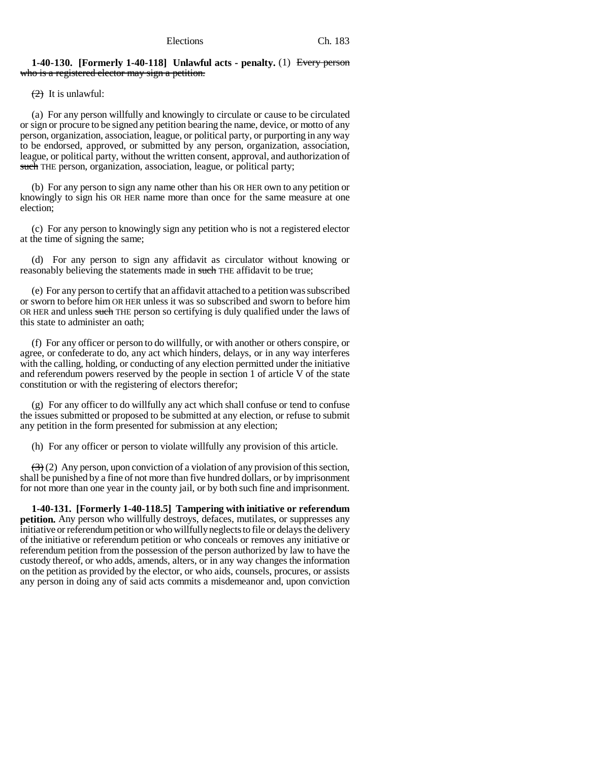### **1-40-130. [Formerly 1-40-118] Unlawful acts - penalty.** (1) Every person who is a registered elector may sign a petition.

 $(2)$  It is unlawful:

(a) For any person willfully and knowingly to circulate or cause to be circulated or sign or procure to be signed any petition bearing the name, device, or motto of any person, organization, association, league, or political party, or purporting in any way to be endorsed, approved, or submitted by any person, organization, association, league, or political party, without the written consent, approval, and authorization of such THE person, organization, association, league, or political party;

(b) For any person to sign any name other than his OR HER own to any petition or knowingly to sign his OR HER name more than once for the same measure at one election;

(c) For any person to knowingly sign any petition who is not a registered elector at the time of signing the same;

(d) For any person to sign any affidavit as circulator without knowing or reasonably believing the statements made in such THE affidavit to be true;

(e) For any person to certify that an affidavit attached to a petition was subscribed or sworn to before him OR HER unless it was so subscribed and sworn to before him OR HER and unless such THE person so certifying is duly qualified under the laws of this state to administer an oath;

(f) For any officer or person to do willfully, or with another or others conspire, or agree, or confederate to do, any act which hinders, delays, or in any way interferes with the calling, holding, or conducting of any election permitted under the initiative and referendum powers reserved by the people in section 1 of article V of the state constitution or with the registering of electors therefor;

(g) For any officer to do willfully any act which shall confuse or tend to confuse the issues submitted or proposed to be submitted at any election, or refuse to submit any petition in the form presented for submission at any election;

(h) For any officer or person to violate willfully any provision of this article.

 $(3)$  (2) Any person, upon conviction of a violation of any provision of this section, shall be punished by a fine of not more than five hundred dollars, or by imprisonment for not more than one year in the county jail, or by both such fine and imprisonment.

**1-40-131. [Formerly 1-40-118.5] Tampering with initiative or referendum petition.** Any person who willfully destroys, defaces, mutilates, or suppresses any initiative or referendum petition or who willfully neglects to file or delays the delivery of the initiative or referendum petition or who conceals or removes any initiative or referendum petition from the possession of the person authorized by law to have the custody thereof, or who adds, amends, alters, or in any way changes the information on the petition as provided by the elector, or who aids, counsels, procures, or assists any person in doing any of said acts commits a misdemeanor and, upon conviction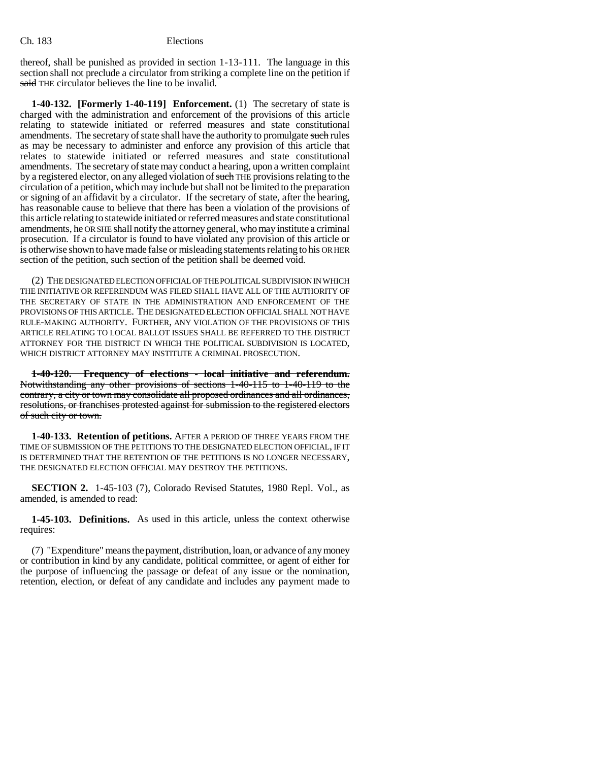thereof, shall be punished as provided in section 1-13-111. The language in this section shall not preclude a circulator from striking a complete line on the petition if said THE circulator believes the line to be invalid.

**1-40-132. [Formerly 1-40-119] Enforcement.** (1) The secretary of state is charged with the administration and enforcement of the provisions of this article relating to statewide initiated or referred measures and state constitutional amendments. The secretary of state shall have the authority to promulgate such rules as may be necessary to administer and enforce any provision of this article that relates to statewide initiated or referred measures and state constitutional amendments. The secretary of state may conduct a hearing, upon a written complaint by a registered elector, on any alleged violation of such THE provisions relating to the circulation of a petition, which may include but shall not be limited to the preparation or signing of an affidavit by a circulator. If the secretary of state, after the hearing, has reasonable cause to believe that there has been a violation of the provisions of this article relating to statewide initiated or referred measures and state constitutional amendments, he OR SHE shall notify the attorney general, who may institute a criminal prosecution. If a circulator is found to have violated any provision of this article or is otherwise shown to have made false or misleading statements relating to his OR HER section of the petition, such section of the petition shall be deemed void.

(2) THE DESIGNATED ELECTION OFFICIAL OF THE POLITICAL SUBDIVISION IN WHICH THE INITIATIVE OR REFERENDUM WAS FILED SHALL HAVE ALL OF THE AUTHORITY OF THE SECRETARY OF STATE IN THE ADMINISTRATION AND ENFORCEMENT OF THE PROVISIONS OF THIS ARTICLE. THE DESIGNATED ELECTION OFFICIAL SHALL NOT HAVE RULE-MAKING AUTHORITY. FURTHER, ANY VIOLATION OF THE PROVISIONS OF THIS ARTICLE RELATING TO LOCAL BALLOT ISSUES SHALL BE REFERRED TO THE DISTRICT ATTORNEY FOR THE DISTRICT IN WHICH THE POLITICAL SUBDIVISION IS LOCATED, WHICH DISTRICT ATTORNEY MAY INSTITUTE A CRIMINAL PROSECUTION.

**1-40-120. Frequency of elections - local initiative and referendum.** Notwithstanding any other provisions of sections 1-40-115 to 1-40-119 to the contrary, a city or town may consolidate all proposed ordinances and all ordinances, resolutions, or franchises protested against for submission to the registered electors of such city or town.

**1-40-133. Retention of petitions.** AFTER A PERIOD OF THREE YEARS FROM THE TIME OF SUBMISSION OF THE PETITIONS TO THE DESIGNATED ELECTION OFFICIAL, IF IT IS DETERMINED THAT THE RETENTION OF THE PETITIONS IS NO LONGER NECESSARY, THE DESIGNATED ELECTION OFFICIAL MAY DESTROY THE PETITIONS.

**SECTION 2.** 1-45-103 (7), Colorado Revised Statutes, 1980 Repl. Vol., as amended, is amended to read:

**1-45-103. Definitions.** As used in this article, unless the context otherwise requires:

(7) "Expenditure" means the payment, distribution, loan, or advance of any money or contribution in kind by any candidate, political committee, or agent of either for the purpose of influencing the passage or defeat of any issue or the nomination, retention, election, or defeat of any candidate and includes any payment made to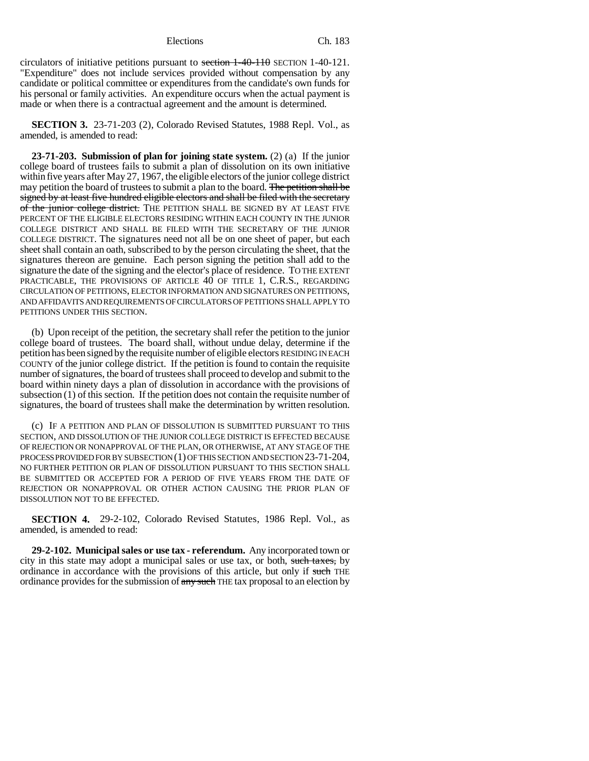circulators of initiative petitions pursuant to section  $1-40-110$  SECTION 1-40-121. "Expenditure" does not include services provided without compensation by any candidate or political committee or expenditures from the candidate's own funds for his personal or family activities. An expenditure occurs when the actual payment is made or when there is a contractual agreement and the amount is determined.

**SECTION 3.** 23-71-203 (2), Colorado Revised Statutes, 1988 Repl. Vol., as amended, is amended to read:

**23-71-203. Submission of plan for joining state system.** (2) (a) If the junior college board of trustees fails to submit a plan of dissolution on its own initiative within five years after May 27, 1967, the eligible electors of the junior college district may petition the board of trustees to submit a plan to the board. The petition shall be signed by at least five hundred eligible electors and shall be filed with the secretary of the junior college district. THE PETITION SHALL BE SIGNED BY AT LEAST FIVE PERCENT OF THE ELIGIBLE ELECTORS RESIDING WITHIN EACH COUNTY IN THE JUNIOR COLLEGE DISTRICT AND SHALL BE FILED WITH THE SECRETARY OF THE JUNIOR COLLEGE DISTRICT. The signatures need not all be on one sheet of paper, but each sheet shall contain an oath, subscribed to by the person circulating the sheet, that the signatures thereon are genuine. Each person signing the petition shall add to the signature the date of the signing and the elector's place of residence. TO THE EXTENT PRACTICABLE, THE PROVISIONS OF ARTICLE 40 OF TITLE 1, C.R.S., REGARDING CIRCULATION OF PETITIONS, ELECTOR INFORMATION AND SIGNATURES ON PETITIONS, AND AFFIDAVITS AND REQUIREMENTS OF CIRCULATORS OF PETITIONS SHALL APPLY TO PETITIONS UNDER THIS SECTION.

(b) Upon receipt of the petition, the secretary shall refer the petition to the junior college board of trustees. The board shall, without undue delay, determine if the petition has been signed by the requisite number of eligible electors RESIDING IN EACH COUNTY of the junior college district. If the petition is found to contain the requisite number of signatures, the board of trustees shall proceed to develop and submit to the board within ninety days a plan of dissolution in accordance with the provisions of subsection (1) of this section. If the petition does not contain the requisite number of signatures, the board of trustees shall make the determination by written resolution.

(c) IF A PETITION AND PLAN OF DISSOLUTION IS SUBMITTED PURSUANT TO THIS SECTION, AND DISSOLUTION OF THE JUNIOR COLLEGE DISTRICT IS EFFECTED BECAUSE OF REJECTION OR NONAPPROVAL OF THE PLAN, OR OTHERWISE, AT ANY STAGE OF THE PROCESS PROVIDED FOR BY SUBSECTION (1) OF THIS SECTION AND SECTION 23-71-204, NO FURTHER PETITION OR PLAN OF DISSOLUTION PURSUANT TO THIS SECTION SHALL BE SUBMITTED OR ACCEPTED FOR A PERIOD OF FIVE YEARS FROM THE DATE OF REJECTION OR NONAPPROVAL OR OTHER ACTION CAUSING THE PRIOR PLAN OF DISSOLUTION NOT TO BE EFFECTED.

**SECTION 4.** 29-2-102, Colorado Revised Statutes, 1986 Repl. Vol., as amended, is amended to read:

**29-2-102. Municipal sales or use tax - referendum.** Any incorporated town or city in this state may adopt a municipal sales or use tax, or both, such taxes, by ordinance in accordance with the provisions of this article, but only if such THE ordinance provides for the submission of any such THE tax proposal to an election by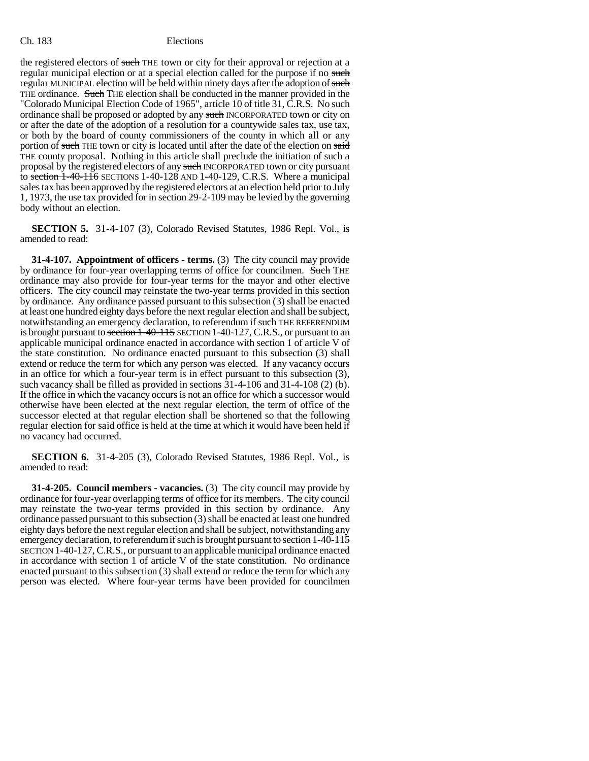the registered electors of such THE town or city for their approval or rejection at a regular municipal election or at a special election called for the purpose if no such regular MUNICIPAL election will be held within ninety days after the adoption of such THE ordinance. Such THE election shall be conducted in the manner provided in the "Colorado Municipal Election Code of 1965", article 10 of title 31, C.R.S. No such ordinance shall be proposed or adopted by any such INCORPORATED town or city on or after the date of the adoption of a resolution for a countywide sales tax, use tax, or both by the board of county commissioners of the county in which all or any portion of such THE town or city is located until after the date of the election on said THE county proposal. Nothing in this article shall preclude the initiation of such a proposal by the registered electors of any such INCORPORATED town or city pursuant to section 1-40-116 SECTIONS 1-40-128 AND 1-40-129, C.R.S. Where a municipal sales tax has been approved by the registered electors at an election held prior to July 1, 1973, the use tax provided for in section 29-2-109 may be levied by the governing body without an election.

**SECTION 5.** 31-4-107 (3), Colorado Revised Statutes, 1986 Repl. Vol., is amended to read:

**31-4-107. Appointment of officers - terms.** (3) The city council may provide by ordinance for four-year overlapping terms of office for councilmen. Such THE ordinance may also provide for four-year terms for the mayor and other elective officers. The city council may reinstate the two-year terms provided in this section by ordinance. Any ordinance passed pursuant to this subsection (3) shall be enacted at least one hundred eighty days before the next regular election and shall be subject, notwithstanding an emergency declaration, to referendum if such THE REFERENDUM is brought pursuant to section 1-40-115 SECTION 1-40-127, C.R.S., or pursuant to an applicable municipal ordinance enacted in accordance with section 1 of article V of the state constitution. No ordinance enacted pursuant to this subsection (3) shall extend or reduce the term for which any person was elected. If any vacancy occurs in an office for which a four-year term is in effect pursuant to this subsection (3), such vacancy shall be filled as provided in sections 31-4-106 and 31-4-108 (2) (b). If the office in which the vacancy occurs is not an office for which a successor would otherwise have been elected at the next regular election, the term of office of the successor elected at that regular election shall be shortened so that the following regular election for said office is held at the time at which it would have been held if no vacancy had occurred.

**SECTION 6.** 31-4-205 (3), Colorado Revised Statutes, 1986 Repl. Vol., is amended to read:

**31-4-205. Council members - vacancies.** (3) The city council may provide by ordinance for four-year overlapping terms of office for its members. The city council may reinstate the two-year terms provided in this section by ordinance. Any ordinance passed pursuant to this subsection (3) shall be enacted at least one hundred eighty days before the next regular election and shall be subject, notwithstanding any emergency declaration, to referendum if such is brought pursuant to section 1-40-115 SECTION 1-40-127, C.R.S., or pursuant to an applicable municipal ordinance enacted in accordance with section 1 of article V of the state constitution. No ordinance enacted pursuant to this subsection (3) shall extend or reduce the term for which any person was elected. Where four-year terms have been provided for councilmen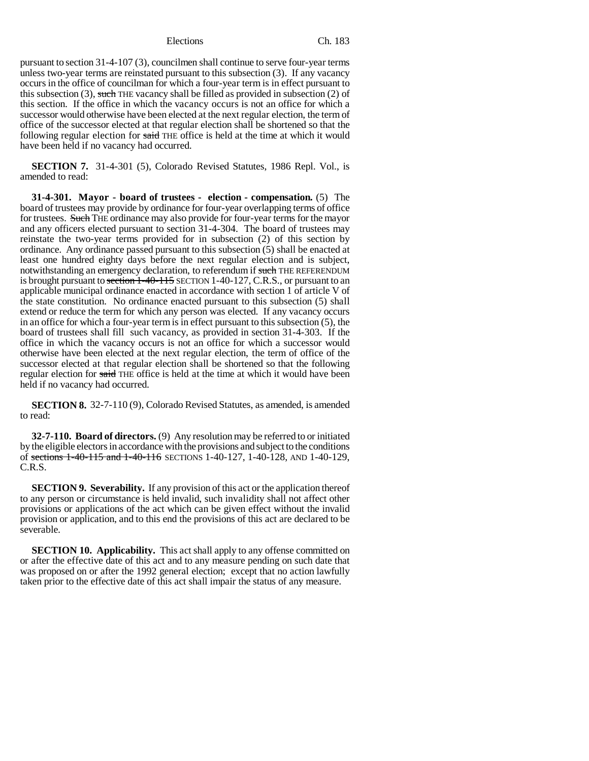pursuant to section 31-4-107 (3), councilmen shall continue to serve four-year terms unless two-year terms are reinstated pursuant to this subsection (3). If any vacancy occurs in the office of councilman for which a four-year term is in effect pursuant to this subsection  $(3)$ , such THE vacancy shall be filled as provided in subsection  $(2)$  of this section. If the office in which the vacancy occurs is not an office for which a successor would otherwise have been elected at the next regular election, the term of office of the successor elected at that regular election shall be shortened so that the following regular election for said THE office is held at the time at which it would have been held if no vacancy had occurred.

**SECTION 7.** 31-4-301 (5), Colorado Revised Statutes, 1986 Repl. Vol., is amended to read:

**31-4-301. Mayor - board of trustees - election - compensation.** (5) The board of trustees may provide by ordinance for four-year overlapping terms of office for trustees. Such THE ordinance may also provide for four-year terms for the mayor and any officers elected pursuant to section 31-4-304. The board of trustees may reinstate the two-year terms provided for in subsection (2) of this section by ordinance. Any ordinance passed pursuant to this subsection (5) shall be enacted at least one hundred eighty days before the next regular election and is subject, notwithstanding an emergency declaration, to referendum if such THE REFERENDUM is brought pursuant to section 1-40-115 SECTION 1-40-127, C.R.S., or pursuant to an applicable municipal ordinance enacted in accordance with section 1 of article V of the state constitution. No ordinance enacted pursuant to this subsection (5) shall extend or reduce the term for which any person was elected. If any vacancy occurs in an office for which a four-year term is in effect pursuant to this subsection (5), the board of trustees shall fill such vacancy, as provided in section 31-4-303. If the office in which the vacancy occurs is not an office for which a successor would otherwise have been elected at the next regular election, the term of office of the successor elected at that regular election shall be shortened so that the following regular election for said THE office is held at the time at which it would have been held if no vacancy had occurred.

**SECTION 8.** 32-7-110 (9), Colorado Revised Statutes, as amended, is amended to read:

**32-7-110. Board of directors.** (9) Any resolution may be referred to or initiated by the eligible electors in accordance with the provisions and subject to the conditions of sections 1-40-115 and 1-40-116 SECTIONS 1-40-127, 1-40-128, AND 1-40-129, C.R.S.

**SECTION 9. Severability.** If any provision of this act or the application thereof to any person or circumstance is held invalid, such invalidity shall not affect other provisions or applications of the act which can be given effect without the invalid provision or application, and to this end the provisions of this act are declared to be severable.

**SECTION 10. Applicability.** This act shall apply to any offense committed on or after the effective date of this act and to any measure pending on such date that was proposed on or after the 1992 general election; except that no action lawfully taken prior to the effective date of this act shall impair the status of any measure.